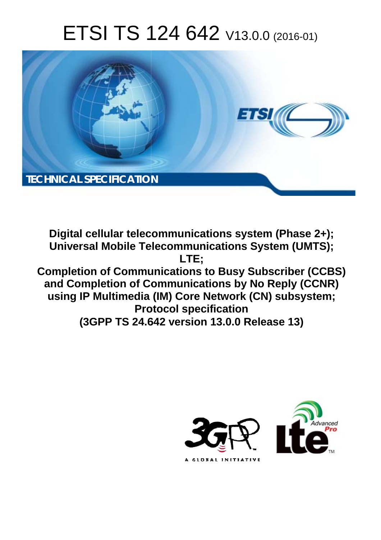# ETSI TS 124 642 V13.0.0 (2016-01)



**Digital cellular telecommunications system (Phase 2+); Universal Mobile Tel elecommunications System ( (UMTS); Completion of Communications to Busy Subscriber (CCBS)** and Completion of Communications by No Reply (CCNR) **using IP Multimedia ( ia (IM) Core Network (CN) subs bsystem; Prot rotocol specification (3GPP TS 24.6 .642 version 13.0.0 Release 13 13) LTE;** 

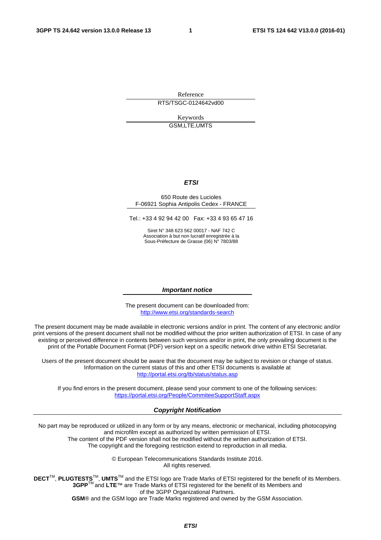Reference RTS/TSGC-0124642vd00

> Keywords GSM,LTE,UMTS

> > *ETSI*

#### 650 Route des Lucioles F-06921 Sophia Antipolis Cedex - FRANCE

Tel.: +33 4 92 94 42 00 Fax: +33 4 93 65 47 16

Siret N° 348 623 562 00017 - NAF 742 C Association à but non lucratif enregistrée à la Sous-Préfecture de Grasse (06) N° 7803/88

#### *Important notice*

The present document can be downloaded from: <http://www.etsi.org/standards-search>

The present document may be made available in electronic versions and/or in print. The content of any electronic and/or print versions of the present document shall not be modified without the prior written authorization of ETSI. In case of any existing or perceived difference in contents between such versions and/or in print, the only prevailing document is the print of the Portable Document Format (PDF) version kept on a specific network drive within ETSI Secretariat.

Users of the present document should be aware that the document may be subject to revision or change of status. Information on the current status of this and other ETSI documents is available at <http://portal.etsi.org/tb/status/status.asp>

If you find errors in the present document, please send your comment to one of the following services: <https://portal.etsi.org/People/CommiteeSupportStaff.aspx>

#### *Copyright Notification*

No part may be reproduced or utilized in any form or by any means, electronic or mechanical, including photocopying and microfilm except as authorized by written permission of ETSI.

The content of the PDF version shall not be modified without the written authorization of ETSI. The copyright and the foregoing restriction extend to reproduction in all media.

> © European Telecommunications Standards Institute 2016. All rights reserved.

**DECT**TM, **PLUGTESTS**TM, **UMTS**TM and the ETSI logo are Trade Marks of ETSI registered for the benefit of its Members. **3GPP**TM and **LTE**™ are Trade Marks of ETSI registered for the benefit of its Members and of the 3GPP Organizational Partners.

**GSM**® and the GSM logo are Trade Marks registered and owned by the GSM Association.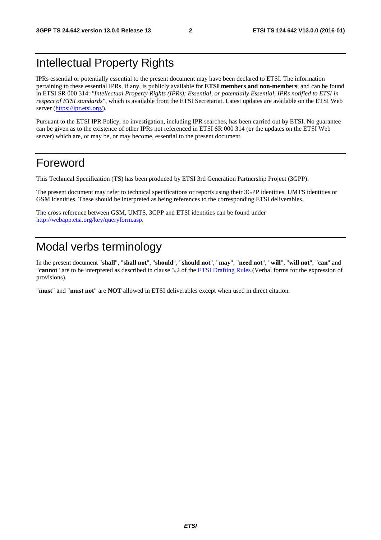## Intellectual Property Rights

IPRs essential or potentially essential to the present document may have been declared to ETSI. The information pertaining to these essential IPRs, if any, is publicly available for **ETSI members and non-members**, and can be found in ETSI SR 000 314: *"Intellectual Property Rights (IPRs); Essential, or potentially Essential, IPRs notified to ETSI in respect of ETSI standards"*, which is available from the ETSI Secretariat. Latest updates are available on the ETSI Web server [\(https://ipr.etsi.org/](https://ipr.etsi.org/)).

Pursuant to the ETSI IPR Policy, no investigation, including IPR searches, has been carried out by ETSI. No guarantee can be given as to the existence of other IPRs not referenced in ETSI SR 000 314 (or the updates on the ETSI Web server) which are, or may be, or may become, essential to the present document.

## Foreword

This Technical Specification (TS) has been produced by ETSI 3rd Generation Partnership Project (3GPP).

The present document may refer to technical specifications or reports using their 3GPP identities, UMTS identities or GSM identities. These should be interpreted as being references to the corresponding ETSI deliverables.

The cross reference between GSM, UMTS, 3GPP and ETSI identities can be found under <http://webapp.etsi.org/key/queryform.asp>.

## Modal verbs terminology

In the present document "**shall**", "**shall not**", "**should**", "**should not**", "**may**", "**need not**", "**will**", "**will not**", "**can**" and "**cannot**" are to be interpreted as described in clause 3.2 of the [ETSI Drafting Rules](http://portal.etsi.org/Help/editHelp!/Howtostart/ETSIDraftingRules.aspx) (Verbal forms for the expression of provisions).

"**must**" and "**must not**" are **NOT** allowed in ETSI deliverables except when used in direct citation.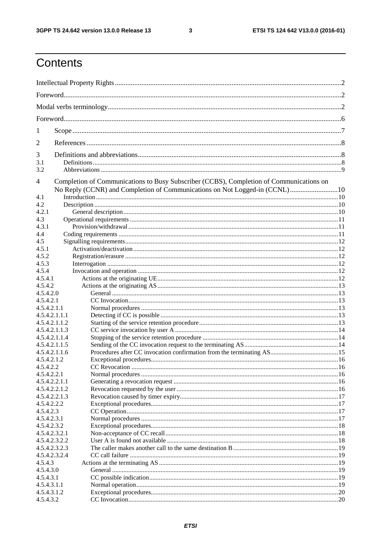$\mathbf{3}$ 

## Contents

| 1                        |                                                                                         |  |
|--------------------------|-----------------------------------------------------------------------------------------|--|
| 2                        |                                                                                         |  |
| 3                        |                                                                                         |  |
| 3.1<br>3.2               |                                                                                         |  |
| 4                        | Completion of Communications to Busy Subscriber (CCBS), Completion of Communications on |  |
|                          | No Reply (CCNR) and Completion of Communications on Not Logged-in (CCNL)10              |  |
| 4.1                      |                                                                                         |  |
| 4.2                      |                                                                                         |  |
| 4.2.1                    |                                                                                         |  |
| 4.3                      |                                                                                         |  |
| 4.3.1                    |                                                                                         |  |
| 4.4                      |                                                                                         |  |
| 4.5                      |                                                                                         |  |
| 4.5.1<br>4.5.2           |                                                                                         |  |
| 4.5.3                    |                                                                                         |  |
| 4.5.4                    |                                                                                         |  |
| 4.5.4.1                  |                                                                                         |  |
| 4.5.4.2                  |                                                                                         |  |
| 4.5.4.2.0                |                                                                                         |  |
| 4.5.4.2.1                |                                                                                         |  |
| 4.5.4.2.1.1              |                                                                                         |  |
| 4.5.4.2.1.1.1            |                                                                                         |  |
| 4.5.4.2.1.1.2            |                                                                                         |  |
| 4.5.4.2.1.1.3            |                                                                                         |  |
| 4.5.4.2.1.1.4            |                                                                                         |  |
| 4.5.4.2.1.1.5            |                                                                                         |  |
| 4.5.4.2.1.1.6            |                                                                                         |  |
| 4.5.4.2.1.2              |                                                                                         |  |
| 4.5.4.2.2                |                                                                                         |  |
| 4.5.4.2.2.1              |                                                                                         |  |
| 4.5.4.2.2.1.1            |                                                                                         |  |
| 4.5.4.2.2.1.2            |                                                                                         |  |
| 4.5.4.2.2.1.3            |                                                                                         |  |
| 4.5.4.2.2.2              |                                                                                         |  |
| 4.5.4.2.3<br>4.5.4.2.3.1 |                                                                                         |  |
| 4.5.4.2.3.2              |                                                                                         |  |
| 4.5.4.2.3.2.1            |                                                                                         |  |
| 4.5.4.2.3.2.2            |                                                                                         |  |
| 4.5.4.2.3.2.3            |                                                                                         |  |
| 4.5.4.2.3.2.4            |                                                                                         |  |
| 4.5.4.3                  |                                                                                         |  |
| 4.5.4.3.0                |                                                                                         |  |
| 4.5.4.3.1                |                                                                                         |  |
| 4.5.4.3.1.1              |                                                                                         |  |
| 4.5.4.3.1.2              |                                                                                         |  |
| 4.5.4.3.2                |                                                                                         |  |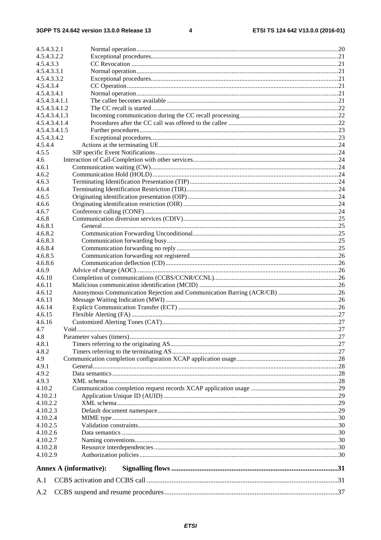$\overline{\mathbf{4}}$ 

| 4.5.4.3.2.1                |                               |  |  |  |  |  |
|----------------------------|-------------------------------|--|--|--|--|--|
| 4.5.4.3.2.2                |                               |  |  |  |  |  |
| 4.5.4.3.3                  |                               |  |  |  |  |  |
|                            |                               |  |  |  |  |  |
| 4.5.4.3.3.1<br>4.5.4.3.3.2 |                               |  |  |  |  |  |
| 4.5.4.3.4                  |                               |  |  |  |  |  |
|                            |                               |  |  |  |  |  |
|                            | 4.5.4.3.4.1<br>4.5.4.3.4.1.1  |  |  |  |  |  |
| 4.5.4.3.4.1.2              |                               |  |  |  |  |  |
| 4.5.4.3.4.1.3              |                               |  |  |  |  |  |
| 4.5.4.3.4.1.4              |                               |  |  |  |  |  |
| 4.5.4.3.4.1.5              |                               |  |  |  |  |  |
| 4.5.4.3.4.2                |                               |  |  |  |  |  |
| 4.5.4.4                    |                               |  |  |  |  |  |
| 4.5.5                      |                               |  |  |  |  |  |
| 4.6                        |                               |  |  |  |  |  |
| 4.6.1                      |                               |  |  |  |  |  |
| 4.6.2                      |                               |  |  |  |  |  |
| 4.6.3                      |                               |  |  |  |  |  |
| 4.6.4                      |                               |  |  |  |  |  |
| 4.6.5                      |                               |  |  |  |  |  |
| 4.6.6                      |                               |  |  |  |  |  |
| 4.6.7                      |                               |  |  |  |  |  |
| 4.6.8                      |                               |  |  |  |  |  |
| 4.6.8.1                    |                               |  |  |  |  |  |
| 4.6.8.2                    |                               |  |  |  |  |  |
| 4.6.8.3                    |                               |  |  |  |  |  |
| 4.6.8.4                    |                               |  |  |  |  |  |
| 4.6.8.5                    |                               |  |  |  |  |  |
|                            |                               |  |  |  |  |  |
| 4.6.8.6<br>4.6.9           |                               |  |  |  |  |  |
| 4.6.10                     |                               |  |  |  |  |  |
| 4.6.11                     |                               |  |  |  |  |  |
| 4.6.12                     |                               |  |  |  |  |  |
| 4.6.13                     |                               |  |  |  |  |  |
| 4.6.14                     |                               |  |  |  |  |  |
| 4.6.15                     |                               |  |  |  |  |  |
| 4.6.16                     |                               |  |  |  |  |  |
| 4.7                        | Void.                         |  |  |  |  |  |
| 4.8                        |                               |  |  |  |  |  |
| 4.8.1                      |                               |  |  |  |  |  |
| 4.8.2                      |                               |  |  |  |  |  |
| 4.9                        |                               |  |  |  |  |  |
| 4.9.1                      |                               |  |  |  |  |  |
| 4.9.2                      |                               |  |  |  |  |  |
| 4.9.3                      |                               |  |  |  |  |  |
| 4.10.2                     |                               |  |  |  |  |  |
| 4.10.2.1                   |                               |  |  |  |  |  |
| 4.10.2.2                   |                               |  |  |  |  |  |
| 4.10.2.3                   |                               |  |  |  |  |  |
| 4.10.2.4                   |                               |  |  |  |  |  |
| 4.10.2.5                   |                               |  |  |  |  |  |
| 4.10.2.6                   |                               |  |  |  |  |  |
| 4.10.2.7                   |                               |  |  |  |  |  |
| 4.10.2.8                   |                               |  |  |  |  |  |
| 4.10.2.9                   |                               |  |  |  |  |  |
|                            |                               |  |  |  |  |  |
|                            | <b>Annex A (informative):</b> |  |  |  |  |  |
|                            |                               |  |  |  |  |  |
| A.1                        |                               |  |  |  |  |  |
| A.2                        |                               |  |  |  |  |  |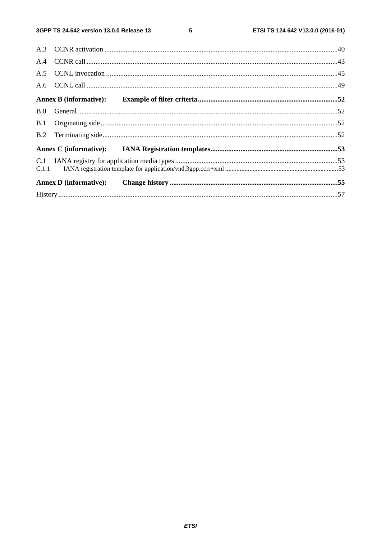$5\phantom{a}$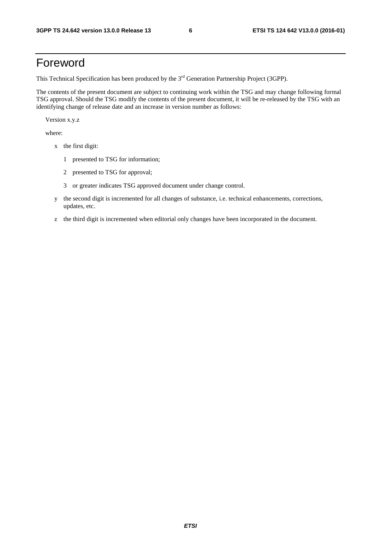## Foreword

This Technical Specification has been produced by the 3<sup>rd</sup> Generation Partnership Project (3GPP).

The contents of the present document are subject to continuing work within the TSG and may change following formal TSG approval. Should the TSG modify the contents of the present document, it will be re-released by the TSG with an identifying change of release date and an increase in version number as follows:

Version x.y.z

where:

- x the first digit:
	- 1 presented to TSG for information;
	- 2 presented to TSG for approval;
	- 3 or greater indicates TSG approved document under change control.
- y the second digit is incremented for all changes of substance, i.e. technical enhancements, corrections, updates, etc.
- z the third digit is incremented when editorial only changes have been incorporated in the document.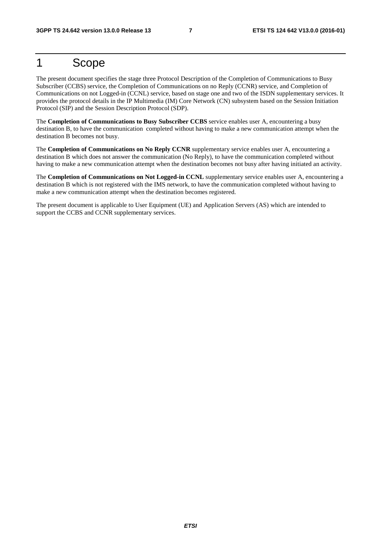## 1 Scope

The present document specifies the stage three Protocol Description of the Completion of Communications to Busy Subscriber (CCBS) service, the Completion of Communications on no Reply (CCNR) service, and Completion of Communications on not Logged-in (CCNL) service, based on stage one and two of the ISDN supplementary services. It provides the protocol details in the IP Multimedia (IM) Core Network (CN) subsystem based on the Session Initiation Protocol (SIP) and the Session Description Protocol (SDP).

The **Completion of Communications to Busy Subscriber CCBS** service enables user A, encountering a busy destination B, to have the communication completed without having to make a new communication attempt when the destination B becomes not busy.

The **Completion of Communications on No Reply CCNR** supplementary service enables user A, encountering a destination B which does not answer the communication (No Reply), to have the communication completed without having to make a new communication attempt when the destination becomes not busy after having initiated an activity.

The **Completion of Communications on Not Logged-in CCNL** supplementary service enables user A, encountering a destination B which is not registered with the IMS network, to have the communication completed without having to make a new communication attempt when the destination becomes registered.

The present document is applicable to User Equipment (UE) and Application Servers (AS) which are intended to support the CCBS and CCNR supplementary services.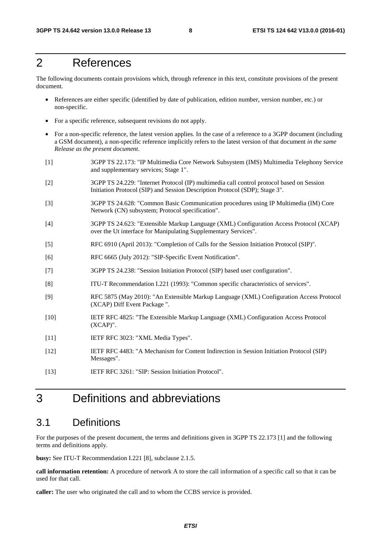## 2 References

The following documents contain provisions which, through reference in this text, constitute provisions of the present document.

- References are either specific (identified by date of publication, edition number, version number, etc.) or non-specific.
- For a specific reference, subsequent revisions do not apply.
- For a non-specific reference, the latest version applies. In the case of a reference to a 3GPP document (including a GSM document), a non-specific reference implicitly refers to the latest version of that document *in the same Release as the present document*.
- [1] 3GPP TS 22.173: "IP Multimedia Core Network Subsystem (IMS) Multimedia Telephony Service and supplementary services; Stage 1".
- [2] 3GPP TS 24.229: "Internet Protocol (IP) multimedia call control protocol based on Session Initiation Protocol (SIP) and Session Description Protocol (SDP); Stage 3".
- [3] 3GPP TS 24.628: "Common Basic Communication procedures using IP Multimedia (IM) Core Network (CN) subsystem; Protocol specification".
- [4] 3GPP TS 24.623: "Extensible Markup Language (XML) Configuration Access Protocol (XCAP) over the Ut interface for Manipulating Supplementary Services".
- [5] RFC 6910 (April 2013): "Completion of Calls for the Session Initiation Protocol (SIP)".
- [6] RFC 6665 (July 2012): "SIP-Specific Event Notification".
- [7] 3GPP TS 24.238: "Session Initiation Protocol (SIP) based user configuration".
- [8] ITU-T Recommendation I.221 (1993): "Common specific characteristics of services".
- [9] RFC 5875 (May 2010): "An Extensible Markup Language (XML) Configuration Access Protocol (XCAP) Diff Event Package ".
- [10] IETF RFC 4825: "The Extensible Markup Language (XML) Configuration Access Protocol (XCAP)".
- [11] IETF RFC 3023: "XML Media Types".
- [12] IETF RFC 4483: "A Mechanism for Content Indirection in Session Initiation Protocol (SIP) Messages".
- [13] IETF RFC 3261: "SIP: Session Initiation Protocol".

## 3 Definitions and abbreviations

## 3.1 Definitions

For the purposes of the present document, the terms and definitions given in 3GPP TS 22.173 [1] and the following terms and definitions apply.

**busy:** See ITU-T Recommendation I.221 [8], subclause 2.1.5.

**call information retention:** A procedure of network A to store the call information of a specific call so that it can be used for that call.

**caller:** The user who originated the call and to whom the CCBS service is provided.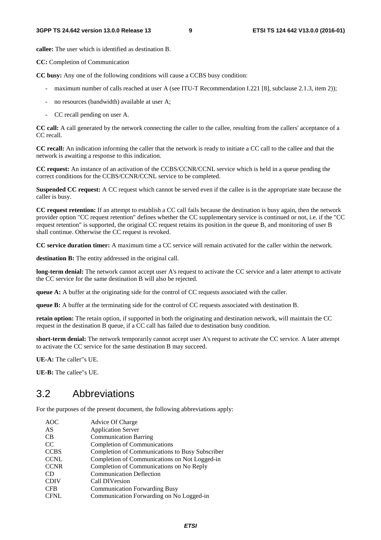**callee:** The user which is identified as destination B.

**CC:** Completion of Communication

**CC busy:** Any one of the following conditions will cause a CCBS busy condition:

- maximum number of calls reached at user A (see ITU-T Recommendation I.221 [8], subclause 2.1.3, item 2));
- no resources (bandwidth) available at user A;
- CC recall pending on user A.

**CC call:** A call generated by the network connecting the caller to the callee, resulting from the callers' acceptance of a CC recall.

**CC recall:** An indication informing the caller that the network is ready to initiate a CC call to the callee and that the network is awaiting a response to this indication.

**CC request:** An instance of an activation of the CCBS/CCNR/CCNL service which is held in a queue pending the correct conditions for the CCBS/CCNR/CCNL service to be completed.

**Suspended CC request:** A CC request which cannot be served even if the callee is in the appropriate state because the caller is busy.

**CC request retention:** If an attempt to establish a CC call fails because the destination is busy again, then the network provider option "CC request retention" defines whether the CC supplementary service is continued or not, i.e. if the "CC request retention" is supported, the original CC request retains its position in the queue B, and monitoring of user B shall continue. Otherwise the CC request is revoked.

**CC service duration timer:** A maximum time a CC service will remain activated for the caller within the network.

**destination B:** The entity addressed in the original call.

**long-term denial:** The network cannot accept user A's request to activate the CC service and a later attempt to activate the CC service for the same destination B will also be rejected.

**queue A:** A buffer at the originating side for the control of CC requests associated with the caller.

**queue B:** A buffer at the terminating side for the control of CC requests associated with destination B.

**retain option:** The retain option, if supported in both the originating and destination network, will maintain the CC request in the destination B queue, if a CC call has failed due to destination busy condition.

**short-term denial:** The network temporarily cannot accept user A's request to activate the CC service. A later attempt to activate the CC service for the same destination B may succeed.

**UE-A:** The caller"s UE.

**UE-B:** The callee"s UE.

## 3.2 Abbreviations

For the purposes of the present document, the following abbreviations apply:

| <b>AOC</b>    | Advice Of Charge                                |
|---------------|-------------------------------------------------|
| AS            | <b>Application Server</b>                       |
| <b>CB</b>     | <b>Communication Barring</b>                    |
| <sub>CC</sub> | Completion of Communications                    |
| <b>CCBS</b>   | Completion of Communications to Busy Subscriber |
| <b>CCNL</b>   | Completion of Communications on Not Logged-in   |
| <b>CCNR</b>   | Completion of Communications on No Reply        |
| <b>CD</b>     | <b>Communication Deflection</b>                 |
| <b>CDIV</b>   | Call DIVersion                                  |
| <b>CFB</b>    | <b>Communication Forwarding Busy</b>            |
| <b>CFNL</b>   | Communication Forwarding on No Logged-in        |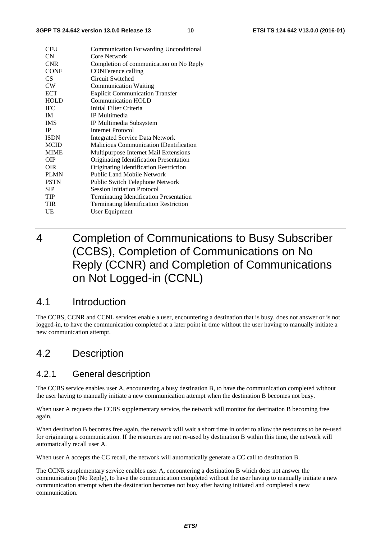| CFU         | <b>Communication Forwarding Unconditional</b>  |
|-------------|------------------------------------------------|
| <b>CN</b>   | Core Network                                   |
| <b>CNR</b>  | Completion of communication on No Reply        |
| <b>CONF</b> | <b>CONFerence calling</b>                      |
| CS.         | Circuit Switched                               |
| CW          | <b>Communication Waiting</b>                   |
| <b>ECT</b>  | <b>Explicit Communication Transfer</b>         |
| <b>HOLD</b> | <b>Communication HOLD</b>                      |
| <b>IFC</b>  | Initial Filter Criteria                        |
| IM.         | IP Multimedia                                  |
| <b>IMS</b>  | IP Multimedia Subsystem                        |
| <b>IP</b>   | Internet Protocol                              |
| <b>ISDN</b> | <b>Integrated Service Data Network</b>         |
| <b>MCID</b> | <b>Malicious Communication IDentification</b>  |
| <b>MIME</b> | Multipurpose Internet Mail Extensions          |
| ОIР         | Originating Identification Presentation        |
| OIR         | Originating Identification Restriction         |
| <b>PLMN</b> | <b>Public Land Mobile Network</b>              |
| <b>PSTN</b> | Public Switch Telephone Network                |
| <b>SIP</b>  | <b>Session Initiation Protocol</b>             |
| TIP         | <b>Terminating Identification Presentation</b> |
| <b>TIR</b>  | <b>Terminating Identification Restriction</b>  |
| UE          | User Equipment                                 |
|             |                                                |

## 4 Completion of Communications to Busy Subscriber (CCBS), Completion of Communications on No Reply (CCNR) and Completion of Communications on Not Logged-in (CCNL)

## 4.1 Introduction

The CCBS, CCNR and CCNL services enable a user, encountering a destination that is busy, does not answer or is not logged-in, to have the communication completed at a later point in time without the user having to manually initiate a new communication attempt.

## 4.2 Description

## 4.2.1 General description

The CCBS service enables user A, encountering a busy destination B, to have the communication completed without the user having to manually initiate a new communication attempt when the destination B becomes not busy.

When user A requests the CCBS supplementary service, the network will monitor for destination B becoming free again.

When destination B becomes free again, the network will wait a short time in order to allow the resources to be re-used for originating a communication. If the resources are not re-used by destination B within this time, the network will automatically recall user A.

When user A accepts the CC recall, the network will automatically generate a CC call to destination B.

The CCNR supplementary service enables user A, encountering a destination B which does not answer the communication (No Reply), to have the communication completed without the user having to manually initiate a new communication attempt when the destination becomes not busy after having initiated and completed a new communication.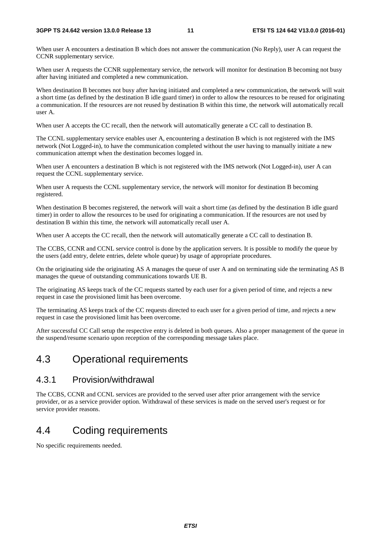When user A encounters a destination B which does not answer the communication (No Reply), user A can request the CCNR supplementary service.

When user A requests the CCNR supplementary service, the network will monitor for destination B becoming not busy after having initiated and completed a new communication.

When destination B becomes not busy after having initiated and completed a new communication, the network will wait a short time (as defined by the destination B idle guard timer) in order to allow the resources to be reused for originating a communication. If the resources are not reused by destination B within this time, the network will automatically recall user A.

When user A accepts the CC recall, then the network will automatically generate a CC call to destination B.

The CCNL supplementary service enables user A, encountering a destination B which is not registered with the IMS network (Not Logged-in), to have the communication completed without the user having to manually initiate a new communication attempt when the destination becomes logged in.

When user A encounters a destination B which is not registered with the IMS network (Not Logged-in), user A can request the CCNL supplementary service.

When user A requests the CCNL supplementary service, the network will monitor for destination B becoming registered.

When destination B becomes registered, the network will wait a short time (as defined by the destination B idle guard timer) in order to allow the resources to be used for originating a communication. If the resources are not used by destination B within this time, the network will automatically recall user A.

When user A accepts the CC recall, then the network will automatically generate a CC call to destination B.

The CCBS, CCNR and CCNL service control is done by the application servers. It is possible to modify the queue by the users (add entry, delete entries, delete whole queue) by usage of appropriate procedures.

On the originating side the originating AS A manages the queue of user A and on terminating side the terminating AS B manages the queue of outstanding communications towards UE B.

The originating AS keeps track of the CC requests started by each user for a given period of time, and rejects a new request in case the provisioned limit has been overcome.

The terminating AS keeps track of the CC requests directed to each user for a given period of time, and rejects a new request in case the provisioned limit has been overcome.

After successful CC Call setup the respective entry is deleted in both queues. Also a proper management of the queue in the suspend/resume scenario upon reception of the corresponding message takes place.

## 4.3 Operational requirements

## 4.3.1 Provision/withdrawal

The CCBS, CCNR and CCNL services are provided to the served user after prior arrangement with the service provider, or as a service provider option. Withdrawal of these services is made on the served user's request or for service provider reasons.

## 4.4 Coding requirements

No specific requirements needed.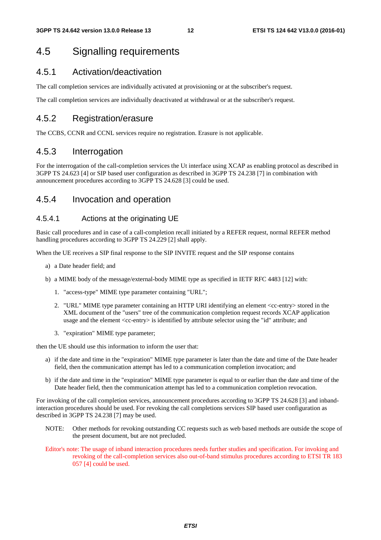## 4.5 Signalling requirements

## 4.5.1 Activation/deactivation

The call completion services are individually activated at provisioning or at the subscriber's request.

The call completion services are individually deactivated at withdrawal or at the subscriber's request.

## 4.5.2 Registration/erasure

The CCBS, CCNR and CCNL services require no registration. Erasure is not applicable.

## 4.5.3 Interrogation

For the interrogation of the call-completion services the Ut interface using XCAP as enabling protocol as described in 3GPP TS 24.623 [4] or SIP based user configuration as described in 3GPP TS 24.238 [7] in combination with announcement procedures according to 3GPP TS 24.628 [3] could be used.

## 4.5.4 Invocation and operation

## 4.5.4.1 Actions at the originating UE

Basic call procedures and in case of a call-completion recall initiated by a REFER request, normal REFER method handling procedures according to 3GPP TS 24.229 [2] shall apply.

When the UE receives a SIP final response to the SIP INVITE request and the SIP response contains

- a) a Date header field; and
- b) a MIME body of the message/external-body MIME type as specified in IETF RFC 4483 [12] with:
	- 1. "access-type" MIME type parameter containing "URL";
	- 2. "URL" MIME type parameter containing an HTTP URI identifying an element <cc-entry> stored in the XML document of the "users" tree of the communication completion request records XCAP application usage and the element <cc-entry> is identified by attribute selector using the "id" attribute; and
	- 3. "expiration" MIME type parameter;

then the UE should use this information to inform the user that:

- a) if the date and time in the "expiration" MIME type parameter is later than the date and time of the Date header field, then the communication attempt has led to a communication completion invocation; and
- b) if the date and time in the "expiration" MIME type parameter is equal to or earlier than the date and time of the Date header field, then the communication attempt has led to a communication completion revocation.

For invoking of the call completion services, announcement procedures according to 3GPP TS 24.628 [3] and inbandinteraction procedures should be used. For revoking the call completions services SIP based user configuration as described in 3GPP TS 24.238 [7] may be used.

- NOTE: Other methods for revoking outstanding CC requests such as web based methods are outside the scope of the present document, but are not precluded.
- Editor's note: The usage of inband interaction procedures needs further studies and specification. For invoking and revoking of the call-completion services also out-of-band stimulus procedures according to ETSI TR 183 057 [4] could be used.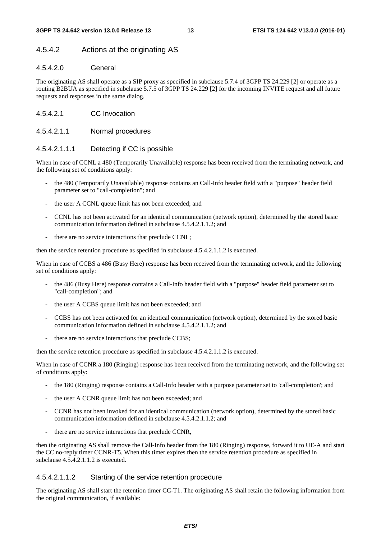### 4.5.4.2 Actions at the originating AS

#### 4.5.4.2.0 General

The originating AS shall operate as a SIP proxy as specified in subclause 5.7.4 of 3GPP TS 24.229 [2] or operate as a routing B2BUA as specified in subclause 5.7.5 of 3GPP TS 24.229 [2] for the incoming INVITE request and all future requests and responses in the same dialog.

### 4.5.4.2.1 CC Invocation

### 4.5.4.2.1.1 Normal procedures

### 4.5.4.2.1.1.1 Detecting if CC is possible

When in case of CCNL a 480 (Temporarily Unavailable) response has been received from the terminating network, and the following set of conditions apply:

- the 480 (Temporarily Unavailable) response contains an Call-Info header field with a "purpose" header field parameter set to "call-completion"; and
- the user A CCNL queue limit has not been exceeded; and
- CCNL has not been activated for an identical communication (network option), determined by the stored basic communication information defined in subclause 4.5.4.2.1.1.2; and
- there are no service interactions that preclude CCNL;

then the service retention procedure as specified in subclause 4.5.4.2.1.1.2 is executed.

When in case of CCBS a 486 (Busy Here) response has been received from the terminating network, and the following set of conditions apply:

- the 486 (Busy Here) response contains a Call-Info header field with a "purpose" header field parameter set to "call-completion"; and
- the user A CCBS queue limit has not been exceeded; and
- CCBS has not been activated for an identical communication (network option), determined by the stored basic communication information defined in subclause 4.5.4.2.1.1.2; and
- there are no service interactions that preclude CCBS;

then the service retention procedure as specified in subclause 4.5.4.2.1.1.2 is executed.

When in case of CCNR a 180 (Ringing) response has been received from the terminating network, and the following set of conditions apply:

- the 180 (Ringing) response contains a Call-Info header with a purpose parameter set to 'call-completion'; and
- the user A CCNR queue limit has not been exceeded; and
- CCNR has not been invoked for an identical communication (network option), determined by the stored basic communication information defined in subclause 4.5.4.2.1.1.2; and
- there are no service interactions that preclude CCNR,

then the originating AS shall remove the Call-Info header from the 180 (Ringing) response, forward it to UE-A and start the CC no-reply timer CCNR-T5. When this timer expires then the service retention procedure as specified in subclause  $4.\overline{5}.4.\overline{2}.1.1.\overline{2}$  is executed.

### 4.5.4.2.1.1.2 Starting of the service retention procedure

The originating AS shall start the retention timer CC-T1. The originating AS shall retain the following information from the original communication, if available: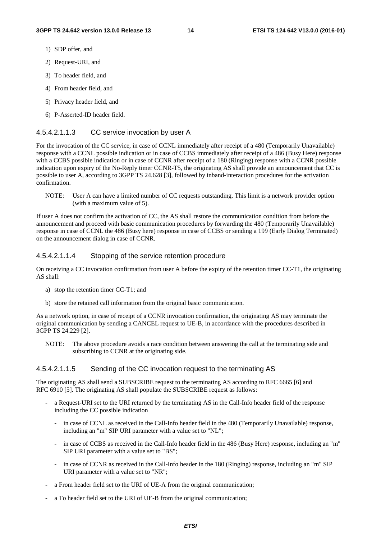- 1) SDP offer, and
- 2) Request-URI, and
- 3) To header field, and
- 4) From header field, and
- 5) Privacy header field, and
- 6) P-Asserted-ID header field.

### 4.5.4.2.1.1.3 CC service invocation by user A

For the invocation of the CC service, in case of CCNL immediately after receipt of a 480 (Temporarily Unavailable) response with a CCNL possible indication or in case of CCBS immediately after receipt of a 486 (Busy Here) response with a CCBS possible indication or in case of CCNR after receipt of a 180 (Ringing) response with a CCNR possible indication upon expiry of the No-Reply timer CCNR-T5, the originating AS shall provide an announcement that CC is possible to user A, according to 3GPP TS 24.628 [3], followed by inband-interaction procedures for the activation confirmation.

NOTE: User A can have a limited number of CC requests outstanding. This limit is a network provider option (with a maximum value of 5).

If user A does not confirm the activation of CC, the AS shall restore the communication condition from before the announcement and proceed with basic communication procedures by forwarding the 480 (Temporarily Unavailable) response in case of CCNL the 486 (Busy here) response in case of CCBS or sending a 199 (Early Dialog Terminated) on the announcement dialog in case of CCNR.

#### 4.5.4.2.1.1.4 Stopping of the service retention procedure

On receiving a CC invocation confirmation from user A before the expiry of the retention timer CC-T1, the originating AS shall:

- a) stop the retention timer CC-T1; and
- b) store the retained call information from the original basic communication.

As a network option, in case of receipt of a CCNR invocation confirmation, the originating AS may terminate the original communication by sending a CANCEL request to UE-B, in accordance with the procedures described in 3GPP TS 24.229 [2].

NOTE: The above procedure avoids a race condition between answering the call at the terminating side and subscribing to CCNR at the originating side.

#### 4.5.4.2.1.1.5 Sending of the CC invocation request to the terminating AS

The originating AS shall send a SUBSCRIBE request to the terminating AS according to RFC 6665 [6] and RFC 6910 [5]. The originating AS shall populate the SUBSCRIBE request as follows:

- a Request-URI set to the URI returned by the terminating AS in the Call-Info header field of the response including the CC possible indication
	- in case of CCNL as received in the Call-Info header field in the 480 (Temporarily Unavailable) response, including an "m" SIP URI parameter with a value set to "NL";
	- in case of CCBS as received in the Call-Info header field in the 486 (Busy Here) response, including an "m" SIP URI parameter with a value set to "BS";
	- in case of CCNR as received in the Call-Info header in the 180 (Ringing) response, including an "m" SIP URI parameter with a value set to "NR";
- a From header field set to the URI of UE-A from the original communication;
- a To header field set to the URI of UE-B from the original communication;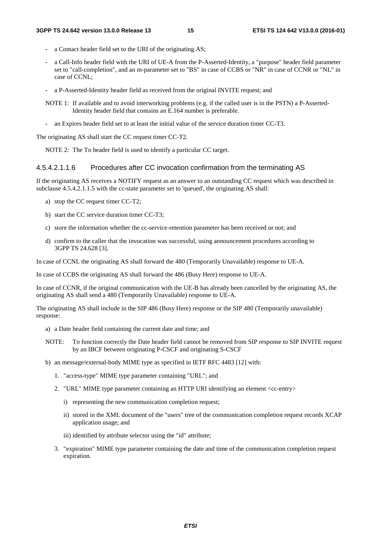- a Contact header field set to the URI of the originating AS;
- a Call-Info header field with the URI of UE-A from the P-Asserted-Identity, a "purpose" header field parameter set to "call-completion", and an m-parameter set to "BS" in case of CCBS or "NR" in case of CCNR or "NL" in case of CCNL;
- a P-Asserted-Identity header field as received from the original INVITE request; and
- NOTE 1: If available and to avoid interworking problems (e.g. if the called user is in the PSTN) a P-Asserted-Identity header field that contains an E.164 number is preferable.
- an Expires header field set to at least the initial value of the service duration timer CC-T3.

The originating AS shall start the CC request timer CC-T2.

NOTE 2: The To header field is used to identify a particular CC target.

#### 4.5.4.2.1.1.6 Procedures after CC invocation confirmation from the terminating AS

If the originating AS receives a NOTIFY request as an answer to an outstanding CC request which was described in subclause 4.5.4.2.1.1.5 with the cc-state parameter set to 'queued', the originating AS shall:

- a) stop the CC request timer CC-T2;
- b) start the CC service duration timer CC-T3;
- c) store the information whether the cc-service-retention parameter has been received or not; and
- d) confirm to the caller that the invocation was successful, using announcement procedures according to 3GPP TS 24.628 [3].

In case of CCNL the originating AS shall forward the 480 (Temporarily Unavailable) response to UE-A.

In case of CCBS the originating AS shall forward the 486 (Busy Here) response to UE-A.

In case of CCNR, if the original communication with the UE-B has already been cancelled by the originating AS, the originating AS shall send a 480 (Temporarily Unavailable) response to UE-A.

The originating AS shall include in the SIP 486 (Busy Here) response or the SIP 480 (Temporarily unavailable) response:

- a) a Date header field containing the current date and time; and
- NOTE: To function correctly the Date header field cannot be removed from SIP response to SIP INVITE request by an IBCF between originating P-CSCF and originating S-CSCF
- b) an message/external-body MIME type as specified in IETF RFC 4483 [12] with:
	- 1. "access-type" MIME type parameter containing "URL"; and
	- 2. "URL" MIME type parameter containing an HTTP URI identifying an element <cc-entry>
		- i) representing the new communication completion request;
		- ii) stored in the XML document of the "users" tree of the communication completion request records XCAP application usage; and
		- iii) identified by attribute selector using the "id" attribute;
	- 3. "expiration" MIME type parameter containing the date and time of the communication completion request expiration.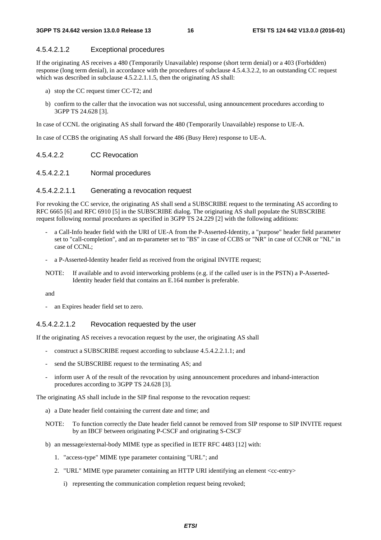### 4.5.4.2.1.2 Exceptional procedures

If the originating AS receives a 480 (Temporarily Unavailable) response (short term denial) or a 403 (Forbidden) response (long term denial), in accordance with the procedures of subclause 4.5.4.3.2.2, to an outstanding CC request which was described in subclause 4.5.2.2.1.1.5, then the originating AS shall:

- a) stop the CC request timer CC-T2; and
- b) confirm to the caller that the invocation was not successful, using announcement procedures according to 3GPP TS 24.628 [3].

In case of CCNL the originating AS shall forward the 480 (Temporarily Unavailable) response to UE-A.

In case of CCBS the originating AS shall forward the 486 (Busy Here) response to UE-A.

### 4.5.4.2.2 CC Revocation

4.5.4.2.2.1 Normal procedures

#### 4.5.4.2.2.1.1 Generating a revocation request

For revoking the CC service, the originating AS shall send a SUBSCRIBE request to the terminating AS according to RFC 6665 [6] and RFC 6910 [5] in the SUBSCRIBE dialog. The originating AS shall populate the SUBSCRIBE request following normal procedures as specified in 3GPP TS 24.229 [2] with the following additions:

- a Call-Info header field with the URI of UE-A from the P-Asserted-Identity, a "purpose" header field parameter set to "call-completion", and an m-parameter set to "BS" in case of CCBS or "NR" in case of CCNR or "NL" in case of CCNL;
- a P-Asserted-Identity header field as received from the original INVITE request;
- NOTE: If available and to avoid interworking problems (e.g. if the called user is in the PSTN) a P-Asserted-Identity header field that contains an E.164 number is preferable.

and

an Expires header field set to zero.

#### 4.5.4.2.2.1.2 Revocation requested by the user

If the originating AS receives a revocation request by the user, the originating AS shall

- construct a SUBSCRIBE request according to subclause 4.5.4.2.2.1.1; and
- send the SUBSCRIBE request to the terminating AS; and
- inform user A of the result of the revocation by using announcement procedures and inband-interaction procedures according to 3GPP TS 24.628 [3].

The originating AS shall include in the SIP final response to the revocation request:

- a) a Date header field containing the current date and time; and
- NOTE: To function correctly the Date header field cannot be removed from SIP response to SIP INVITE request by an IBCF between originating P-CSCF and originating S-CSCF
- b) an message/external-body MIME type as specified in IETF RFC 4483 [12] with:
	- 1. "access-type" MIME type parameter containing "URL"; and
	- 2. "URL" MIME type parameter containing an HTTP URI identifying an element <cc-entry>
		- i) representing the communication completion request being revoked;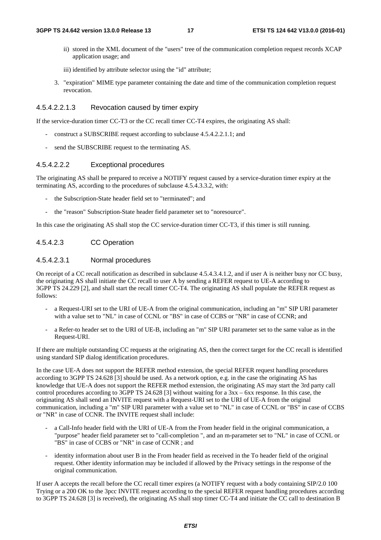- ii) stored in the XML document of the "users" tree of the communication completion request records XCAP application usage; and
- iii) identified by attribute selector using the "id" attribute;
- 3. "expiration" MIME type parameter containing the date and time of the communication completion request revocation.

### 4.5.4.2.2.1.3 Revocation caused by timer expiry

If the service-duration timer CC-T3 or the CC recall timer CC-T4 expires, the originating AS shall:

- construct a SUBSCRIBE request according to subclause 4.5.4.2.2.1.1; and
- send the SUBSCRIBE request to the terminating AS.

### 4.5.4.2.2.2 Exceptional procedures

The originating AS shall be prepared to receive a NOTIFY request caused by a service-duration timer expiry at the terminating AS, according to the procedures of subclause 4.5.4.3.3.2, with:

- the Subscription-State header field set to "terminated"; and
- the "reason" Subscription-State header field parameter set to "noresource".

In this case the originating AS shall stop the CC service-duration timer CC-T3, if this timer is still running.

### 4.5.4.2.3 CC Operation

#### 4.5.4.2.3.1 Normal procedures

On receipt of a CC recall notification as described in subclause 4.5.4.3.4.1.2, and if user A is neither busy nor CC busy, the originating AS shall initiate the CC recall to user A by sending a REFER request to UE-A according to 3GPP TS 24.229 [2], and shall start the recall timer CC-T4. The originating AS shall populate the REFER request as follows:

- a Request-URI set to the URI of UE-A from the original communication, including an "m" SIP URI parameter with a value set to "NL" in case of CCNL or "BS" in case of CCBS or "NR" in case of CCNR; and
- a Refer-to header set to the URI of UE-B, including an "m" SIP URI parameter set to the same value as in the Request-URI.

If there are multiple outstanding CC requests at the originating AS, then the correct target for the CC recall is identified using standard SIP dialog identification procedures.

In the case UE-A does not support the REFER method extension, the special REFER request handling procedures according to 3GPP TS 24.628 [3] should be used. As a network option, e.g. in the case the originating AS has knowledge that UE-A does not support the REFER method extension, the originating AS may start the 3rd party call control procedures according to 3GPP TS 24.628 [3] without waiting for a 3xx – 6xx response. In this case, the originating AS shall send an INVITE request with a Request-URI set to the URI of UE-A from the original communication, including a "m" SIP URI parameter with a value set to "NL" in case of CCNL or "BS" in case of CCBS or "NR" in case of CCNR. The INVITE request shall include:

- a Call-Info header field with the URI of UE-A from the From header field in the original communication, a "purpose" header field parameter set to "call-completion ", and an m-parameter set to "NL" in case of CCNL or "BS" in case of CCBS or "NR" in case of CCNR ; and
- identity information about user B in the From header field as received in the To header field of the original request. Other identity information may be included if allowed by the Privacy settings in the response of the original communication.

If user A accepts the recall before the CC recall timer expires (a NOTIFY request with a body containing SIP/2.0 100 Trying or a 200 OK to the 3pcc INVITE request according to the special REFER request handling procedures according to 3GPP TS 24.628 [3] is received), the originating AS shall stop timer CC-T4 and initiate the CC call to destination B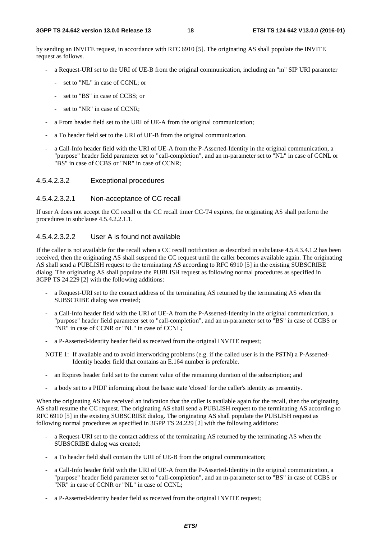by sending an INVITE request, in accordance with RFC 6910 [5]. The originating AS shall populate the INVITE request as follows.

- a Request-URI set to the URI of UE-B from the original communication, including an "m" SIP URI parameter
	- set to "NL" in case of CCNL; or
	- set to "BS" in case of CCBS; or
	- set to "NR" in case of CCNR;
- a From header field set to the URI of UE-A from the original communication;
- a To header field set to the URI of UE-B from the original communication.
- a Call-Info header field with the URI of UE-A from the P-Asserted-Identity in the original communication, a "purpose" header field parameter set to "call-completion", and an m-parameter set to "NL" in case of CCNL or "BS" in case of CCBS or "NR" in case of CCNR;

### 4.5.4.2.3.2 Exceptional procedures

#### 4.5.4.2.3.2.1 Non-acceptance of CC recall

If user A does not accept the CC recall or the CC recall timer CC-T4 expires, the originating AS shall perform the procedures in subclause 4.5.4.2.2.1.1.

## 4.5.4.2.3.2.2 User A is found not available

If the caller is not available for the recall when a CC recall notification as described in subclause 4.5.4.3.4.1.2 has been received, then the originating AS shall suspend the CC request until the caller becomes available again. The originating AS shall send a PUBLISH request to the terminating AS according to RFC 6910 [5] in the existing SUBSCRIBE dialog. The originating AS shall populate the PUBLISH request as following normal procedures as specified in 3GPP TS 24.229 [2] with the following additions:

- a Request-URI set to the contact address of the terminating AS returned by the terminating AS when the SUBSCRIBE dialog was created;
- a Call-Info header field with the URI of UE-A from the P-Asserted-Identity in the original communication, a "purpose" header field parameter set to "call-completion", and an m-parameter set to "BS" in case of CCBS or "NR" in case of CCNR or "NL" in case of CCNL;
- a P-Asserted-Identity header field as received from the original INVITE request;
- NOTE 1: If available and to avoid interworking problems (e.g. if the called user is in the PSTN) a P-Asserted-Identity header field that contains an E.164 number is preferable.
- an Expires header field set to the current value of the remaining duration of the subscription; and
- a body set to a PIDF informing about the basic state 'closed' for the caller's identity as presentity.

When the originating AS has received an indication that the caller is available again for the recall, then the originating AS shall resume the CC request. The originating AS shall send a PUBLISH request to the terminating AS according to RFC 6910 [5] in the existing SUBSCRIBE dialog. The originating AS shall populate the PUBLISH request as following normal procedures as specified in 3GPP TS 24.229 [2] with the following additions:

- a Request-URI set to the contact address of the terminating AS returned by the terminating AS when the SUBSCRIBE dialog was created;
- a To header field shall contain the URI of UE-B from the original communication;
- a Call-Info header field with the URI of UE-A from the P-Asserted-Identity in the original communication, a "purpose" header field parameter set to "call-completion", and an m-parameter set to "BS" in case of CCBS or "NR" in case of CCNR or "NL" in case of CCNL;
- a P-Asserted-Identity header field as received from the original INVITE request;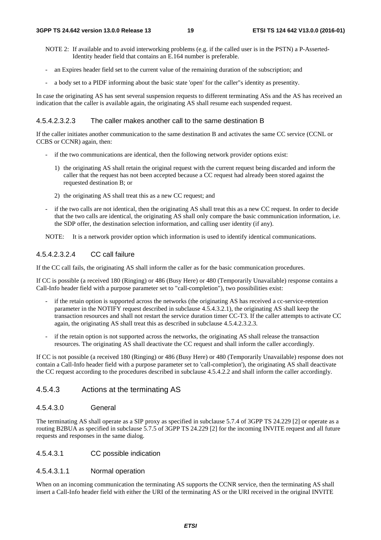- NOTE 2: If available and to avoid interworking problems (e.g. if the called user is in the PSTN) a P-Asserted-Identity header field that contains an E.164 number is preferable.
- an Expires header field set to the current value of the remaining duration of the subscription; and
- a body set to a PIDF informing about the basic state 'open' for the caller"s identity as presentity.

In case the originating AS has sent several suspension requests to different terminating ASs and the AS has received an indication that the caller is available again, the originating AS shall resume each suspended request.

#### 4.5.4.2.3.2.3 The caller makes another call to the same destination B

If the caller initiates another communication to the same destination B and activates the same CC service (CCNL or CCBS or CCNR) again, then:

- if the two communications are identical, then the following network provider options exist:
	- 1) the originating AS shall retain the original request with the current request being discarded and inform the caller that the request has not been accepted because a CC request had already been stored against the requested destination B; or
	- 2) the originating AS shall treat this as a new CC request; and
- if the two calls are not identical, then the originating AS shall treat this as a new CC request. In order to decide that the two calls are identical, the originating AS shall only compare the basic communication information, i.e. the SDP offer, the destination selection information, and calling user identity (if any).

NOTE: It is a network provider option which information is used to identify identical communications.

#### 4.5.4.2.3.2.4 CC call failure

If the CC call fails, the originating AS shall inform the caller as for the basic communication procedures.

If CC is possible (a received 180 (Ringing) or 486 (Busy Here) or 480 (Temporarily Unavailable) response contains a Call-Info header field with a purpose parameter set to "call-completion"), two possibilities exist:

- if the retain option is supported across the networks (the originating AS has received a cc-service-retention parameter in the NOTIFY request described in subclause 4.5.4.3.2.1), the originating AS shall keep the transaction resources and shall not restart the service duration timer CC-T3. If the caller attempts to activate CC again, the originating AS shall treat this as described in subclause 4.5.4.2.3.2.3.
- if the retain option is not supported across the networks, the originating AS shall release the transaction resources. The originating AS shall deactivate the CC request and shall inform the caller accordingly.

If CC is not possible (a received 180 (Ringing) or 486 (Busy Here) or 480 (Temporarily Unavailable) response does not contain a Call-Info header field with a purpose parameter set to 'call-completion'), the originating AS shall deactivate the CC request according to the procedures described in subclause 4.5.4.2.2 and shall inform the caller accordingly.

### 4.5.4.3 Actions at the terminating AS

#### 4.5.4.3.0 General

The terminating AS shall operate as a SIP proxy as specified in subclause 5.7.4 of 3GPP TS 24.229 [2] or operate as a routing B2BUA as specified in subclause 5.7.5 of 3GPP TS 24.229 [2] for the incoming INVITE request and all future requests and responses in the same dialog.

#### 4.5.4.3.1 CC possible indication

#### 4.5.4.3.1.1 Normal operation

When on an incoming communication the terminating AS supports the CCNR service, then the terminating AS shall insert a Call-Info header field with either the URI of the terminating AS or the URI received in the original INVITE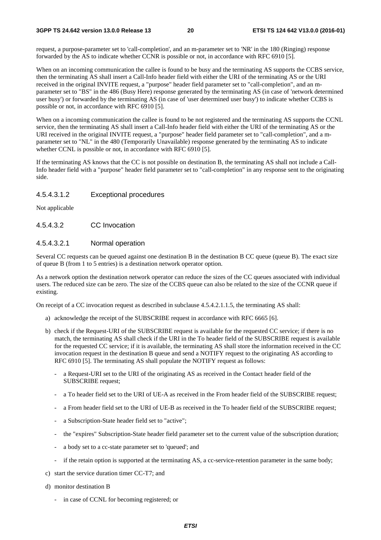#### **3GPP TS 24.642 version 13.0.0 Release 13 20 ETSI TS 124 642 V13.0.0 (2016-01)**

request, a purpose-parameter set to 'call-completion', and an m-parameter set to 'NR' in the 180 (Ringing) response forwarded by the AS to indicate whether CCNR is possible or not, in accordance with RFC 6910 [5].

When on an incoming communication the callee is found to be busy and the terminating AS supports the CCBS service, then the terminating AS shall insert a Call-Info header field with either the URI of the terminating AS or the URI received in the original INVITE request, a "purpose" header field parameter set to "call-completion", and an mparameter set to "BS" in the 486 (Busy Here) response generated by the terminating AS (in case of 'network determined user busy') or forwarded by the terminating AS (in case of 'user determined user busy') to indicate whether CCBS is possible or not, in accordance with RFC 6910 [5].

When on a incoming communication the callee is found to be not registered and the terminating AS supports the CCNL service, then the terminating AS shall insert a Call-Info header field with either the URI of the terminating AS or the URI received in the original INVITE request, a "purpose" header field parameter set to "call-completion", and a mparameter set to "NL" in the 480 (Temporarily Unavailable) response generated by the terminating AS to indicate whether CCNL is possible or not, in accordance with RFC 6910 [5].

If the terminating AS knows that the CC is not possible on destination B, the terminating AS shall not include a Call-Info header field with a "purpose" header field parameter set to "call-completion" in any response sent to the originating side.

## 4.5.4.3.1.2 Exceptional procedures

Not applicable

## 4.5.4.3.2 CC Invocation

## 4.5.4.3.2.1 Normal operation

Several CC requests can be queued against one destination B in the destination B CC queue (queue B). The exact size of queue B (from 1 to 5 entries) is a destination network operator option.

As a network option the destination network operator can reduce the sizes of the CC queues associated with individual users. The reduced size can be zero. The size of the CCBS queue can also be related to the size of the CCNR queue if existing.

On receipt of a CC invocation request as described in subclause 4.5.4.2.1.1.5, the terminating AS shall:

- a) acknowledge the receipt of the SUBSCRIBE request in accordance with RFC 6665 [6].
- b) check if the Request-URI of the SUBSCRIBE request is available for the requested CC service; if there is no match, the terminating AS shall check if the URI in the To header field of the SUBSCRIBE request is available for the requested CC service; if it is available, the terminating AS shall store the information received in the CC invocation request in the destination B queue and send a NOTIFY request to the originating AS according to RFC 6910 [5]. The terminating AS shall populate the NOTIFY request as follows:
	- a Request-URI set to the URI of the originating AS as received in the Contact header field of the SUBSCRIBE request;
	- a To header field set to the URI of UE-A as received in the From header field of the SUBSCRIBE request;
	- a From header field set to the URI of UE-B as received in the To header field of the SUBSCRIBE request;
	- a Subscription-State header field set to "active";
	- the "expires" Subscription-State header field parameter set to the current value of the subscription duration;
	- a body set to a cc-state parameter set to 'queued'; and
	- if the retain option is supported at the terminating AS, a cc-service-retention parameter in the same body;
- c) start the service duration timer CC-T7; and
- d) monitor destination B
	- in case of CCNL for becoming registered; or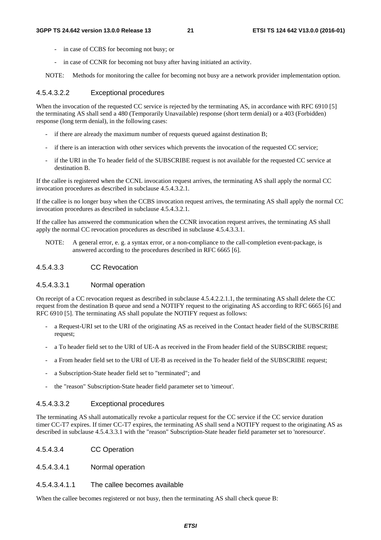- in case of CCBS for becoming not busy; or
- in case of CCNR for becoming not busy after having initiated an activity.

NOTE: Methods for monitoring the callee for becoming not busy are a network provider implementation option.

### 4.5.4.3.2.2 Exceptional procedures

When the invocation of the requested CC service is rejected by the terminating AS, in accordance with RFC 6910 [5] the terminating AS shall send a 480 (Temporarily Unavailable) response (short term denial) or a 403 (Forbidden) response (long term denial), in the following cases:

- if there are already the maximum number of requests queued against destination B;
- if there is an interaction with other services which prevents the invocation of the requested CC service;
- if the URI in the To header field of the SUBSCRIBE request is not available for the requested CC service at destination B.

If the callee is registered when the CCNL invocation request arrives, the terminating AS shall apply the normal CC invocation procedures as described in subclause 4.5.4.3.2.1.

If the callee is no longer busy when the CCBS invocation request arrives, the terminating AS shall apply the normal CC invocation procedures as described in subclause 4.5.4.3.2.1.

If the callee has answered the communication when the CCNR invocation request arrives, the terminating AS shall apply the normal CC revocation procedures as described in subclause 4.5.4.3.3.1.

NOTE: A general error, e. g. a syntax error, or a non-compliance to the call-completion event-package, is answered according to the procedures described in RFC 6665 [6].

### 4.5.4.3.3 CC Revocation

### 4.5.4.3.3.1 Normal operation

On receipt of a CC revocation request as described in subclause 4.5.4.2.2.1.1, the terminating AS shall delete the CC request from the destination B queue and send a NOTIFY request to the originating AS according to RFC 6665 [6] and RFC 6910 [5]. The terminating AS shall populate the NOTIFY request as follows:

- a Request-URI set to the URI of the originating AS as received in the Contact header field of the SUBSCRIBE request;
- a To header field set to the URI of UE-A as received in the From header field of the SUBSCRIBE request;
- a From header field set to the URI of UE-B as received in the To header field of the SUBSCRIBE request;
- a Subscription-State header field set to "terminated"; and
- the "reason" Subscription-State header field parameter set to 'timeout'.

### 4.5.4.3.3.2 Exceptional procedures

The terminating AS shall automatically revoke a particular request for the CC service if the CC service duration timer CC-T7 expires. If timer CC-T7 expires, the terminating AS shall send a NOTIFY request to the originating AS as described in subclause 4.5.4.3.3.1 with the "reason" Subscription-State header field parameter set to 'noresource'.

- 4.5.4.3.4 CC Operation
- 4.5.4.3.4.1 Normal operation
- 4.5.4.3.4.1.1 The callee becomes available

When the callee becomes registered or not busy, then the terminating AS shall check queue B: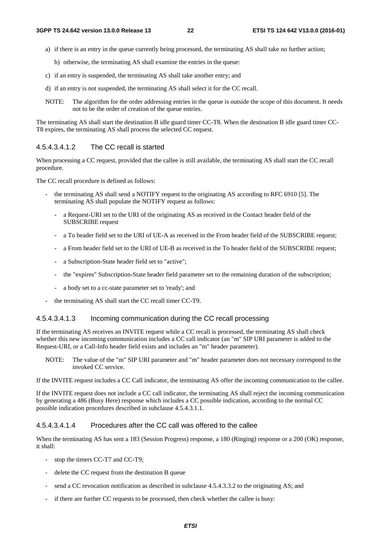- a) if there is an entry in the queue currently being processed, the terminating AS shall take no further action;
	- b) otherwise, the terminating AS shall examine the entries in the queue:
- c) if an entry is suspended, the terminating AS shall take another entry; and
- d) if an entry is not suspended, the terminating AS shall select it for the CC recall.
- NOTE: The algorithm for the order addressing entries in the queue is outside the scope of this document. It needs not to be the order of creation of the queue entries.

The terminating AS shall start the destination B idle guard timer CC-T8. When the destination B idle guard timer CC-T8 expires, the terminating AS shall process the selected CC request.

### 4.5.4.3.4.1.2 The CC recall is started

When processing a CC request, provided that the callee is still available, the terminating AS shall start the CC recall procedure.

The CC recall procedure is defined as follows:

- the terminating AS shall send a NOTIFY request to the originating AS according to RFC 6910 [5]. The terminating AS shall populate the NOTIFY request as follows:
	- a Request-URI set to the URI of the originating AS as received in the Contact header field of the SUBSCRIBE request
	- a To header field set to the URI of UE-A as received in the From header field of the SUBSCRIBE request;
	- a From header field set to the URI of UE-B as received in the To header field of the SUBSCRIBE request;
	- a Subscription-State header field set to "active";
	- the "expires" Subscription-State header field parameter set to the remaining duration of the subscription;
	- a body set to a cc-state parameter set to 'ready'; and
- the terminating AS shall start the CC recall timer CC-T9.

#### 4.5.4.3.4.1.3 Incoming communication during the CC recall processing

If the terminating AS receives an INVITE request while a CC recall is processed, the terminating AS shall check whether this new incoming communication includes a CC call indicator (an "m" SIP URI parameter is added to the Request-URI, or a Call-Info header field exists and includes an "m" header parameter).

NOTE: The value of the "m" SIP URI parameter and "m" header parameter does not necessary correspond to the invoked CC service.

If the INVITE request includes a CC Call indicator, the terminating AS offer the incoming communication to the callee.

If the INVITE request does not include a CC call indicator, the terminating AS shall reject the incoming communication by generating a 486 (Busy Here) response which includes a CC possible indication, according to the normal CC possible indication procedures described in subclause 4.5.4.3.1.1.

### 4.5.4.3.4.1.4 Procedures after the CC call was offered to the callee

When the terminating AS has sent a 183 (Session Progress) response, a 180 (Ringing) response or a 200 (OK) response, it shall:

- stop the timers CC-T7 and CC-T9;
- delete the CC request from the destination B queue
- send a CC revocation notification as described in subclause 4.5.4.3.3.2 to the originating AS; and
- if there are further CC requests to be processed, then check whether the callee is busy: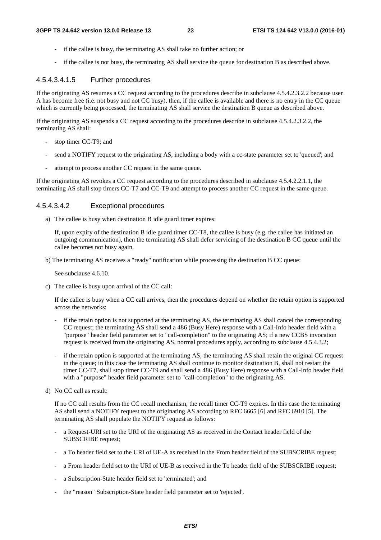- if the callee is busy, the terminating AS shall take no further action; or
- if the callee is not busy, the terminating AS shall service the queue for destination B as described above.

#### 4.5.4.3.4.1.5 Further procedures

If the originating AS resumes a CC request according to the procedures describe in subclause 4.5.4.2.3.2.2 because user A has become free (i.e. not busy and not CC busy), then, if the callee is available and there is no entry in the CC queue which is currently being processed, the terminating AS shall service the destination B queue as described above.

If the originating AS suspends a CC request according to the procedures describe in subclause 4.5.4.2.3.2.2, the terminating AS shall:

- stop timer CC-T9; and
- send a NOTIFY request to the originating AS, including a body with a cc-state parameter set to 'queued'; and
- attempt to process another CC request in the same queue.

If the originating AS revokes a CC request according to the procedures described in subclause 4.5.4.2.2.1.1, the terminating AS shall stop timers CC-T7 and CC-T9 and attempt to process another CC request in the same queue.

#### 4.5.4.3.4.2 Exceptional procedures

a) The callee is busy when destination B idle guard timer expires:

 If, upon expiry of the destination B idle guard timer CC-T8, the callee is busy (e.g. the callee has initiated an outgoing communication), then the terminating AS shall defer servicing of the destination B CC queue until the callee becomes not busy again.

b) The terminating AS receives a "ready" notification while processing the destination B CC queue:

See subclause 4.6.10.

c) The callee is busy upon arrival of the CC call:

 If the callee is busy when a CC call arrives, then the procedures depend on whether the retain option is supported across the networks:

- if the retain option is not supported at the terminating AS, the terminating AS shall cancel the corresponding CC request; the terminating AS shall send a 486 (Busy Here) response with a Call-Info header field with a "purpose" header field parameter set to "call-completion" to the originating AS; if a new CCBS invocation request is received from the originating AS, normal procedures apply, according to subclause 4.5.4.3.2;
- if the retain option is supported at the terminating AS, the terminating AS shall retain the original CC request in the queue; in this case the terminating AS shall continue to monitor destination B, shall not restart the timer CC-T7, shall stop timer CC-T9 and shall send a 486 (Busy Here) response with a Call-Info header field with a "purpose" header field parameter set to "call-completion" to the originating AS.
- d) No CC call as result:

 If no CC call results from the CC recall mechanism, the recall timer CC-T9 expires. In this case the terminating AS shall send a NOTIFY request to the originating AS according to RFC 6665 [6] and RFC 6910 [5]. The terminating AS shall populate the NOTIFY request as follows:

- a Request-URI set to the URI of the originating AS as received in the Contact header field of the SUBSCRIBE request;
- a To header field set to the URI of UE-A as received in the From header field of the SUBSCRIBE request;
- a From header field set to the URI of UE-B as received in the To header field of the SUBSCRIBE request;
- a Subscription-State header field set to 'terminated'; and
- the "reason" Subscription-State header field parameter set to 'rejected'.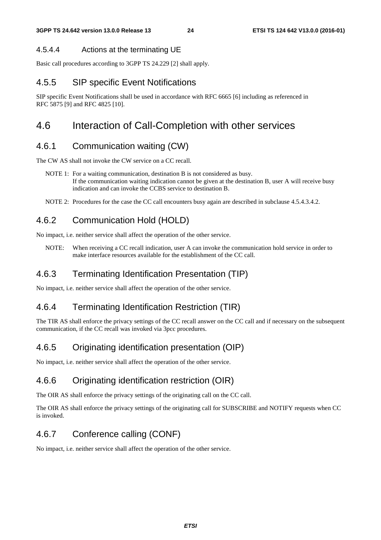## 4.5.4.4 Actions at the terminating UE

Basic call procedures according to 3GPP TS 24.229 [2] shall apply.

## 4.5.5 SIP specific Event Notifications

SIP specific Event Notifications shall be used in accordance with RFC 6665 [6] including as referenced in RFC 5875 [9] and RFC 4825 [10].

## 4.6 Interaction of Call-Completion with other services

## 4.6.1 Communication waiting (CW)

The CW AS shall not invoke the CW service on a CC recall.

NOTE 1: For a waiting communication, destination B is not considered as busy. If the communication waiting indication cannot be given at the destination B, user A will receive busy indication and can invoke the CCBS service to destination B.

NOTE 2: Procedures for the case the CC call encounters busy again are described in subclause 4.5.4.3.4.2.

## 4.6.2 Communication Hold (HOLD)

No impact, i.e. neither service shall affect the operation of the other service.

NOTE: When receiving a CC recall indication, user A can invoke the communication hold service in order to make interface resources available for the establishment of the CC call.

## 4.6.3 Terminating Identification Presentation (TIP)

No impact, i.e. neither service shall affect the operation of the other service.

## 4.6.4 Terminating Identification Restriction (TIR)

The TIR AS shall enforce the privacy settings of the CC recall answer on the CC call and if necessary on the subsequent communication, if the CC recall was invoked via 3pcc procedures.

## 4.6.5 Originating identification presentation (OIP)

No impact, i.e. neither service shall affect the operation of the other service.

## 4.6.6 Originating identification restriction (OIR)

The OIR AS shall enforce the privacy settings of the originating call on the CC call.

The OIR AS shall enforce the privacy settings of the originating call for SUBSCRIBE and NOTIFY requests when CC is invoked.

## 4.6.7 Conference calling (CONF)

No impact, i.e. neither service shall affect the operation of the other service.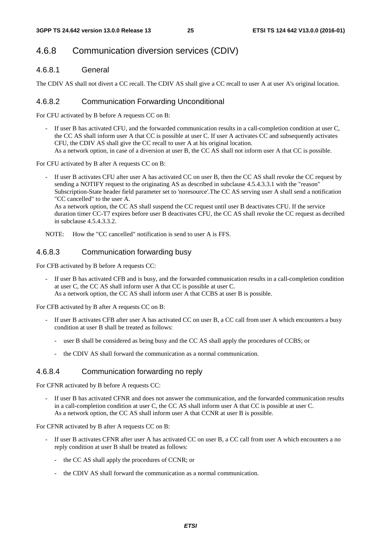## 4.6.8 Communication diversion services (CDIV)

## 4.6.8.1 General

The CDIV AS shall not divert a CC recall. The CDIV AS shall give a CC recall to user A at user A's original location.

## 4.6.8.2 Communication Forwarding Unconditional

For CFU activated by B before A requests CC on B:

If user B has activated CFU, and the forwarded communication results in a call-completion condition at user C, the CC AS shall inform user A that CC is possible at user C. If user A activates CC and subsequently activates CFU, the CDIV AS shall give the CC recall to user A at his original location. As a network option, in case of a diversion at user B, the CC AS shall not inform user A that CC is possible.

For CFU activated by B after A requests CC on B:

If user B activates CFU after user A has activated CC on user B, then the CC AS shall revoke the CC request by sending a NOTIFY request to the originating AS as described in subclause 4.5.4.3.3.1 with the "reason" Subscription-State header field parameter set to 'noresource'.The CC AS serving user A shall send a notification "CC cancelled" to the user A.

As a network option, the CC AS shall suspend the CC request until user B deactivates CFU. If the service duration timer CC-T7 expires before user B deactivates CFU, the CC AS shall revoke the CC request as decribed in subclause 4.5.4.3.3.2.

NOTE: How the "CC cancelled" notification is send to user A is FFS.

### 4.6.8.3 Communication forwarding busy

For CFB activated by B before A requests CC:

If user B has activated CFB and is busy, and the forwarded communication results in a call-completion condition at user C, the CC AS shall inform user A that CC is possible at user C. As a network option, the CC AS shall inform user A that CCBS at user B is possible.

For CFB activated by B after A requests CC on B:

- If user B activates CFB after user A has activated CC on user B, a CC call from user A which encounters a busy condition at user B shall be treated as follows:
	- user B shall be considered as being busy and the CC AS shall apply the procedures of CCBS; or
	- the CDIV AS shall forward the communication as a normal communication.

### 4.6.8.4 Communication forwarding no reply

For CFNR activated by B before A requests CC:

If user B has activated CFNR and does not answer the communication, and the forwarded communication results in a call-completion condition at user C, the CC AS shall inform user A that CC is possible at user C. As a network option, the CC AS shall inform user A that CCNR at user B is possible.

For CFNR activated by B after A requests CC on B:

- If user B activates CFNR after user A has activated CC on user B, a CC call from user A which encounters a no reply condition at user B shall be treated as follows:
	- the CC AS shall apply the procedures of CCNR; or
	- the CDIV AS shall forward the communication as a normal communication.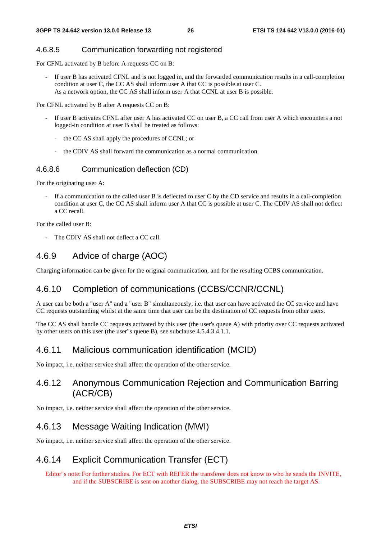### 4.6.8.5 Communication forwarding not registered

For CFNL activated by B before A requests CC on B:

If user B has activated CFNL and is not logged in, and the forwarded communication results in a call-completion condition at user C, the CC AS shall inform user A that CC is possible at user C. As a network option, the CC AS shall inform user A that CCNL at user B is possible.

For CFNL activated by B after A requests CC on B:

- If user B activates CFNL after user A has activated CC on user B, a CC call from user A which encounters a not logged-in condition at user B shall be treated as follows:
	- the CC AS shall apply the procedures of CCNL; or
	- the CDIV AS shall forward the communication as a normal communication.

#### 4.6.8.6 Communication deflection (CD)

For the originating user A:

If a communication to the called user B is deflected to user C by the CD service and results in a call-completion condition at user C, the CC AS shall inform user A that CC is possible at user C. The CDIV AS shall not deflect a CC recall.

For the called user B:

- The CDIV AS shall not deflect a CC call.

## 4.6.9 Advice of charge (AOC)

Charging information can be given for the original communication, and for the resulting CCBS communication.

## 4.6.10 Completion of communications (CCBS/CCNR/CCNL)

A user can be both a "user A" and a "user B" simultaneously, i.e. that user can have activated the CC service and have CC requests outstanding whilst at the same time that user can be the destination of CC requests from other users.

The CC AS shall handle CC requests activated by this user (the user's queue A) with priority over CC requests activated by other users on this user (the user"s queue B), see subclause 4.5.4.3.4.1.1.

## 4.6.11 Malicious communication identification (MCID)

No impact, i.e. neither service shall affect the operation of the other service.

## 4.6.12 Anonymous Communication Rejection and Communication Barring (ACR/CB)

No impact, i.e. neither service shall affect the operation of the other service.

## 4.6.13 Message Waiting Indication (MWI)

No impact, i.e. neither service shall affect the operation of the other service.

## 4.6.14 Explicit Communication Transfer (ECT)

Editor"s note: For further studies. For ECT with REFER the transferee does not know to who he sends the INVITE, and if the SUBSCRIBE is sent on another dialog, the SUBSCRIBE may not reach the target AS.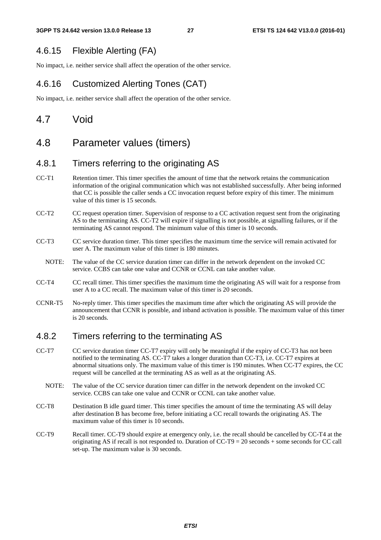## 4.6.15 Flexible Alerting (FA)

No impact, i.e. neither service shall affect the operation of the other service.

## 4.6.16 Customized Alerting Tones (CAT)

No impact, i.e. neither service shall affect the operation of the other service.

## 4.7 Void

## 4.8 Parameter values (timers)

## 4.8.1 Timers referring to the originating AS

- CC-T1 Retention timer. This timer specifies the amount of time that the network retains the communication information of the original communication which was not established successfully. After being informed that CC is possible the caller sends a CC invocation request before expiry of this timer. The minimum value of this timer is 15 seconds.
- CC-T2 CC request operation timer. Supervision of response to a CC activation request sent from the originating AS to the terminating AS. CC-T2 will expire if signalling is not possible, at signalling failures, or if the terminating AS cannot respond. The minimum value of this timer is 10 seconds.
- CC-T3 CC service duration timer. This timer specifies the maximum time the service will remain activated for user A. The maximum value of this timer is 180 minutes.
	- NOTE: The value of the CC service duration timer can differ in the network dependent on the invoked CC service. CCBS can take one value and CCNR or CCNL can take another value.
- CC-T4 CC recall timer. This timer specifies the maximum time the originating AS will wait for a response from user A to a CC recall. The maximum value of this timer is 20 seconds.
- CCNR-T5 No-reply timer. This timer specifies the maximum time after which the originating AS will provide the announcement that CCNR is possible, and inband activation is possible. The maximum value of this timer is 20 seconds.

## 4.8.2 Timers referring to the terminating AS

- CC-T7 CC service duration timer CC-T7 expiry will only be meaningful if the expiry of CC-T3 has not been notified to the terminating AS. CC-T7 takes a longer duration than CC-T3, i.e. CC-T7 expires at abnormal situations only. The maximum value of this timer is 190 minutes. When CC-T7 expires, the CC request will be cancelled at the terminating AS as well as at the originating AS.
	- NOTE: The value of the CC service duration timer can differ in the network dependent on the invoked CC service. CCBS can take one value and CCNR or CCNL can take another value.
- CC-T8 Destination B idle guard timer. This timer specifies the amount of time the terminating AS will delay after destination B has become free, before initiating a CC recall towards the originating AS. The maximum value of this timer is 10 seconds.
- CC-T9 Recall timer. CC-T9 should expire at emergency only, i.e. the recall should be cancelled by CC-T4 at the originating AS if recall is not responded to. Duration of  $CC-T9 = 20$  seconds + some seconds for CC call set-up. The maximum value is 30 seconds.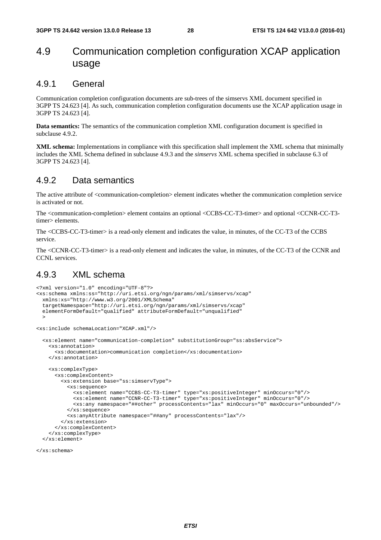## 4.9 Communication completion configuration XCAP application usage

## 4.9.1 General

Communication completion configuration documents are sub-trees of the simservs XML document specified in 3GPP TS 24.623 [4]. As such, communication completion configuration documents use the XCAP application usage in 3GPP TS 24.623 [4].

**Data semantics:** The semantics of the communication completion XML configuration document is specified in subclause 4.9.2.

**XML schema:** Implementations in compliance with this specification shall implement the XML schema that minimally includes the XML Schema defined in subclause 4.9.3 and the *simservs* XML schema specified in subclause 6.3 of 3GPP TS 24.623 [4].

## 4.9.2 Data semantics

The active attribute of <communication-completion> element indicates whether the communication completion service is activated or not.

The <communication-completion> element contains an optional <CCBS-CC-T3-timer> and optional <CCNR-CC-T3 timer> elements.

The <CCBS-CC-T3-timer> is a read-only element and indicates the value, in minutes, of the CC-T3 of the CCBS service.

The <CCNR-CC-T3-timer> is a read-only element and indicates the value, in minutes, of the CC-T3 of the CCNR and CCNL services.

## 4.9.3 XML schema

```
<?xml version="1.0" encoding="UTF-8"?> 
<xs:schema xmlns:ss="http://uri.etsi.org/ngn/params/xml/simservs/xcap" 
  xmlns:xs="http://www.w3.org/2001/XMLSchema" 
   targetNamespace="http://uri.etsi.org/ngn/params/xml/simservs/xcap" 
  elementFormDefault="qualified" attributeFormDefault="unqualified" 
\rightarrow<xs:include schemaLocation="XCAP.xml"/> 
   <xs:element name="communication-completion" substitutionGroup="ss:absService"> 
     <xs:annotation> 
       <xs:documentation>communication completion</xs:documentation> 
     </xs:annotation> 
     <xs:complexType> 
       <xs:complexContent> 
         <xs:extension base="ss:simservType"> 
           <xs:sequence> 
 <xs:element name="CCBS-CC-T3-timer" type="xs:positiveInteger" minOccurs="0"/> 
 <xs:element name="CCNR-CC-T3-timer" type="xs:positiveInteger" minOccurs="0"/> 
             <xs:any namespace="##other" processContents="lax" minOccurs="0" maxOccurs="unbounded"/> 
           </xs:sequence> 
           <xs:anyAttribute namespace="##any" processContents="lax"/> 
         </xs:extension> 
       </xs:complexContent> 
     </xs:complexType> 
   </xs:element>
```
</xs:schema>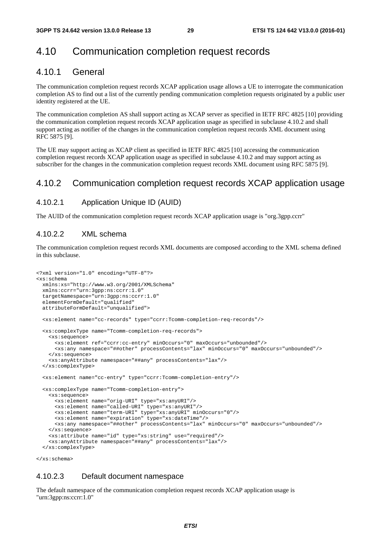## 4.10 Communication completion request records

## 4.10.1 General

The communication completion request records XCAP application usage allows a UE to interrogate the communication completion AS to find out a list of the currently pending communication completion requests originated by a public user identity registered at the UE.

The communication completion AS shall support acting as XCAP server as specified in IETF RFC 4825 [10] providing the communication completion request records XCAP application usage as specified in subclause 4.10.2 and shall support acting as notifier of the changes in the communication completion request records XML document using RFC 5875 [9].

The UE may support acting as XCAP client as specified in IETF RFC 4825 [10] accessing the communication completion request records XCAP application usage as specified in subclause 4.10.2 and may support acting as subscriber for the changes in the communication completion request records XML document using RFC 5875 [9].

## 4.10.2 Communication completion request records XCAP application usage

### 4.10.2.1 Application Unique ID (AUID)

The AUID of the communication completion request records XCAP application usage is "org.3gpp.ccrr"

## 4.10.2.2 XML schema

The communication completion request records XML documents are composed according to the XML schema defined in this subclause.

```
<?xml version="1.0" encoding="UTF-8"?> 
<xs:schema 
  xmlns:xs="http://www.w3.org/2001/XMLSchema" 
  xmlns:ccrr="urn:3gpp:ns:ccrr:1.0" 
   targetNamespace="urn:3gpp:ns:ccrr:1.0" 
  elementFormDefault="qualified" 
  attributeFormDefault="unqualified"> 
   <xs:element name="cc-records" type="ccrr:Tcomm-completion-req-records"/> 
   <xs:complexType name="Tcomm-completion-req-records"> 
     <xs:sequence> 
       <xs:element ref="ccrr:cc-entry" minOccurs="0" maxOccurs="unbounded"/> 
       <xs:any namespace="##other" processContents="lax" minOccurs="0" maxOccurs="unbounded"/> 
     </xs:sequence> 
     <xs:anyAttribute namespace="##any" processContents="lax"/> 
   </xs:complexType> 
   <xs:element name="cc-entry" type="ccrr:Tcomm-completion-entry"/> 
   <xs:complexType name="Tcomm-completion-entry"> 
     <xs:sequence> 
       <xs:element name="orig-URI" type="xs:anyURI"/> 
       <xs:element name="called-URI" type="xs:anyURI"/> 
       <xs:element name="term-URI" type="xs:anyURI" minOccurs="0"/> 
       <xs:element name="expiration" type="xs:dateTime"/> 
       <xs:any namespace="##other" processContents="lax" minOccurs="0" maxOccurs="unbounded"/> 
     </xs:sequence> 
     <xs:attribute name="id" type="xs:string" use="required"/> 
     <xs:anyAttribute namespace="##any" processContents="lax"/> 
   </xs:complexType>
```
</xs:schema>

## 4.10.2.3 Default document namespace

The default namespace of the communication completion request records XCAP application usage is "urn:3gpp:ns:ccrr:1.0"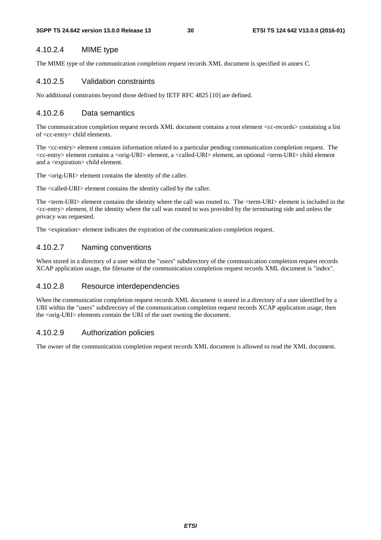## 4.10.2.4 MIME type

The MIME type of the communication completion request records XML document is specified in annex C.

## 4.10.2.5 Validation constraints

No additional constraints beyond those defined by IETF RFC 4825 [10] are defined.

## 4.10.2.6 Data semantics

The communication completion request records XML document contains a root element <cc-records> containing a list of <cc-entry> child elements.

The <cc-entry> element contains information related to a particular pending communication completion request. The <cc-entry> element contains a <orig-URI> element, a <called-URI> element, an optional <term-URI> child element and a <expiration> child element.

The <orig-URI> element contains the identity of the caller.

The <called-URI> element contains the identity called by the caller.

The <term-URI> element contains the identity where the call was routed to. The <term-URI> element is included in the <cc-entry> element, if the identity where the call was routed to was provided by the terminating side and unless the privacy was requested.

The <expiration> element indicates the expiration of the communication completion request.

## 4.10.2.7 Naming conventions

When stored in a directory of a user within the "users" subdirectory of the communication completion request records XCAP application usage, the filename of the communication completion request records XML document is "index".

## 4.10.2.8 Resource interdependencies

When the communication completion request records XML document is stored in a directory of a user identified by a URI within the "users" subdirectory of the communication completion request records XCAP application usage, then the <orig-URI> elements contain the URI of the user owning the document.

## 4.10.2.9 Authorization policies

The owner of the communication completion request records XML document is allowed to read the XML document.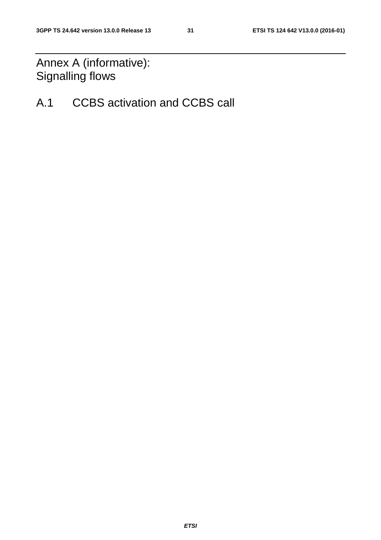Annex A (informative): Signalling flows

A.1 CCBS activation and CCBS call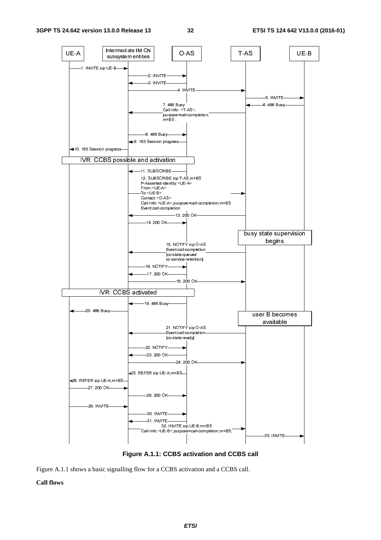

**Figure A.1.1: CCBS activation and CCBS call** 

Figure A.1.1 shows a basic signalling flow for a CCBS activation and a CCBS call.

**Call flows**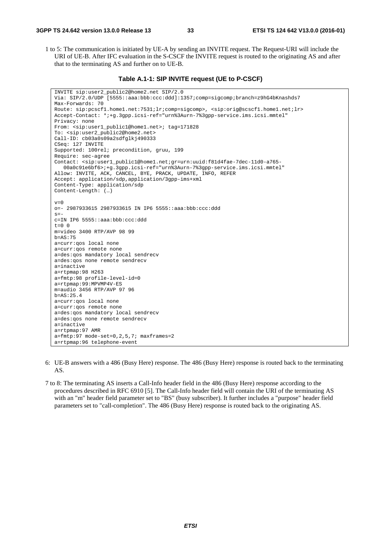1 to 5: The communication is initiated by UE-A by sending an INVITE request. The Request-URI will include the URI of UE-B. After IFC evaluation in the S-CSCF the INVITE request is routed to the originating AS and after that to the terminating AS and further on to UE-B.

**Table A.1-1: SIP INVITE request (UE to P-CSCF)** 

```
INVITE sip:user2_public2@home2.net SIP/2.0 
Via: SIP/2.0/UDP [5555::aaa:bbb:ccc:ddd]:1357;comp=sigcomp;branch=z9hG4bKnashds7 
Max-Forwards: 70 
Route: sip:pcscf1.home1.net:7531;lr;comp=sigcomp>, <sip:orig@scscf1.home1.net;lr> 
Accept-Contact: *;+g.3gpp.icsi-ref="urn%3Aurn-7%3gpp-service.ims.icsi.mmtel" 
Privacy: none 
From: <sip:user1_public1@home1.net>; tag=171828 
To: <sip:user2_public2@home2.net> 
Call-ID: cb03a0s09a2sdfglkj490333 
CSeq: 127 INVITE 
Supported: 100rel; precondition, gruu, 199 
Require: sec-agree 
Contact: <sip:user1_public1@home1.net;gr=urn:uuid:f81d4fae-7dec-11d0-a765-
   00a0c91e6bf6>;+g.3gpp.icsi-ref="urn%3Aurn-7%3gpp-service.ims.icsi.mmtel" 
Allow: INVITE, ACK, CANCEL, BYE, PRACK, UPDATE, INFO, REFER 
Accept: application/sdp,application/3gpp-ims+xml 
Content-Type: application/sdp 
Content-Length: (…) 
v=0o=- 2987933615 2987933615 IN IP6 5555::aaa:bbb:ccc:ddd 
s=-c=IN IP6 5555::aaa:bbb:ccc:ddd 
t=0 0
m=video 3400 RTP/AVP 98 99 
b=AS:75 
a=curr:qos local none 
a=curr:qos remote none 
a=des:qos mandatory local sendrecv 
a=des:qos none remote sendrecv 
a=inactive 
a=rtpmap:98 H263 
a=fmtp:98 profile-level-id=0 
a=rtpmap:99:MPVMP4V-ES 
m=audio 3456 RTP/AVP 97 96 
b=AS:25.4 
a=curr:qos local none 
a=curr:qos remote none 
a=des:qos mandatory local sendrecv 
a=des:qos none remote sendrecv 
a=inactive 
a=rtpmap:97 AMR 
a=fmtp:97 mode-set=0,2,5,7; maxframes=2 
a=rtpmap:96 telephone-event
```
- 6: UE-B answers with a 486 (Busy Here) response. The 486 (Busy Here) response is routed back to the terminating AS.
- 7 to 8: The terminating AS inserts a Call-Info header field in the 486 (Busy Here) response according to the procedures described in RFC 6910 [5]. The Call-Info header field will contain the URI of the terminating AS with an "m" header field parameter set to "BS" (busy subscriber). It further includes a "purpose" header field parameters set to "call-completion". The 486 (Busy Here) response is routed back to the originating AS.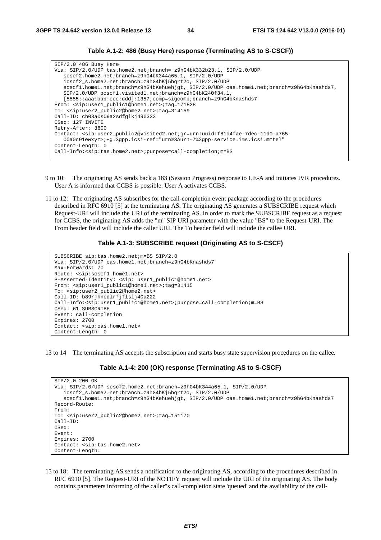

| $SIP/2.0$ 486 Busy Here                                                                             |
|-----------------------------------------------------------------------------------------------------|
| Via: SIP/2.0/UDP tas.home2.net;branch= z9hG4bK332b23.1, SIP/2.0/UDP                                 |
| scscf2.home2.net;branch=z9hG4bK344a65.1, SIP/2.0/UDP                                                |
| icscf2 s.home2.net;branch=z9hG4bKj5hqrt2o, SIP/2.0/UDP                                              |
| scscf1.home1.net;branch=z9hG4bKehuehjqt, SIP/2.0/UDP oas.home1.net;branch=z9hG4bKnashds7,           |
| SIP/2.0/UDP pcscf1.visited1.net;branch=z9hG4bK240f34.1,                                             |
| [5555::aaa:bbb:ccc:ddd]:1357;comp=sigcomp;branch=z9hG4bKnashds7                                     |
| From: <sip:user1_public1@home1.net>;taq=171828</sip:user1_public1@home1.net>                        |
| To: <sip:user2_public2@home2.net>;tag=314159</sip:user2_public2@home2.net>                          |
| Call-ID: cb03a0s09a2sdfqlkj490333                                                                   |
| CSeq: 127 INVITE                                                                                    |
| Retry-After: 3600                                                                                   |
| Contact: <sip:user2 public2@visited2.net;qr="urn:uuid:f81d4fae-7dec-11d0-a765-&lt;/td"></sip:user2> |
| 00a0c91ewxyz>;+q.3qpp.icsi-ref="urn%3Aurn-7%3qpp-service.ims.icsi.mmtel"                            |
| Content-Length: 0                                                                                   |
| Call-Info: <sip:tas.home2.net>;purpose=call-completion;m=BS</sip:tas.home2.net>                     |
|                                                                                                     |

- 9 to 10: The originating AS sends back a 183 (Session Progress) response to UE-A and initiates IVR procedures. User A is informed that CCBS is possible. User A activates CCBS.
- 11 to 12: The originating AS subscribes for the call-completion event package according to the procedures described in RFC 6910 [5] at the terminating AS. The originating AS generates a SUBSCRIBE request which Request-URI will include the URI of the terminating AS. In order to mark the SUBSCRIBE request as a request for CCBS, the originating AS adds the "m" SIP URI parameter with the value "BS" to the Request-URI. The From header field will include the caller URI. The To header field will include the callee URI.

#### **Table A.1-3: SUBSCRIBE request (Originating AS to S-CSCF)**

```
SUBSCRIBE sip:tas.home2.net;m=BS SIP/2.0 
Via: SIP/2.0/UDP oas.home1.net;branch=z9hG4bKnashds7 
Max-Forwards: 70 
Route: <sip:scscf1.home1.net> 
P-Asserted-Identity: <sip: user1_public1@home1.net> 
From: <sip:user1_public1@home1.net>;tag=31415 
To: <sip:user2_public2@home2.net> 
Call-ID: b89rjhnedlrfjflslj40a222 
Call-Info:<sip:user1_public1@home1.net>;purpose=call-completion;m=BS 
CSeq: 61 SUBSCRIBE 
Event: call-completion 
Expires: 2700 
Contact: <sip:oas.home1.net> 
Content-Length: 0
```
13 to 14 The terminating AS accepts the subscription and starts busy state supervision procedures on the callee.

#### **Table A.1-4: 200 (OK) response (Terminating AS to S-CSCF)**

```
SIP/2.0 200 OK 
Via: SIP/2.0/UDP scscf2.home2.net;branch=z9hG4bK344a65.1, SIP/2.0/UDP 
   icscf2_s.home2.net;branch=z9hG4bKj5hgrt2o, SIP/2.0/UDP 
   scscf1.home1.net;branch=z9hG4bKehuehjgt, SIP/2.0/UDP oas.home1.net;branch=z9hG4bKnashds7 
Record-Route: 
From: 
To: <sip:user2_public2@home2.net>;tag=151170 
Call-ID: 
CSeq:
Event: 
Expires: 2700 
Contact: <sip:tas.home2.net> 
Content-Length:
```
15 to 18: The terminating AS sends a notification to the originating AS, according to the procedures described in RFC 6910 [5]. The Request-URI of the NOTIFY request will include the URI of the originating AS. The body contains parameters informing of the caller"s call-completion state 'queued' and the availability of the call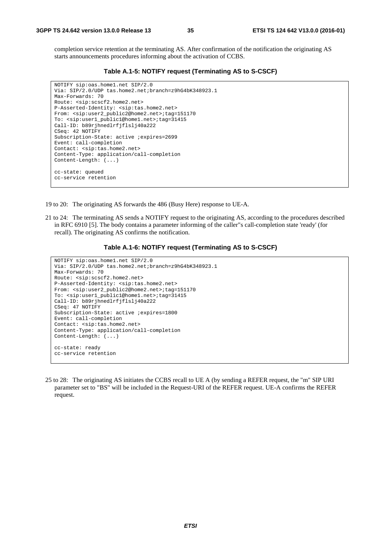completion service retention at the terminating AS. After confirmation of the notification the originating AS starts announcements procedures informing about the activation of CCBS.

**Table A.1-5: NOTIFY request (Terminating AS to S-CSCF)** 

```
NOTIFY sip:oas.home1.net SIP/2.0 
Via: SIP/2.0/UDP tas.home2.net;branch=z9hG4bK348923.1 
Max-Forwards: 70 
Route: <sip:scscf2.home2.net> 
P-Asserted-Identity: <sip:tas.home2.net> 
From: <sip:user2_public2@home2.net>;tag=151170 
To: <sip:user1_public1@home1.net>;tag=31415 
Call-ID: b89rjhnedlrfjflslj40a222 
CSeq: 42 NOTIFY 
Subscription-State: active ;expires=2699 
Event: call-completion 
Contact: <sip:tas.home2.net> 
Content-Type: application/call-completion 
Content-Length: (...) 
cc-state: queued 
cc-service retention
```
19 to 20: The originating AS forwards the 486 (Busy Here) response to UE-A.

21 to 24: The terminating AS sends a NOTIFY request to the originating AS, according to the procedures described in RFC 6910 [5]. The body contains a parameter informing of the caller"s call-completion state 'ready' (for recall). The originating AS confirms the notification.

#### **Table A.1-6: NOTIFY request (Terminating AS to S-CSCF)**

```
NOTIFY sip:oas.home1.net SIP/2.0 
Via: SIP/2.0/UDP tas.home2.net;branch=z9hG4bK348923.1 
Max-Forwards: 70 
Route: <sip:scscf2.home2.net> 
P-Asserted-Identity: <sip:tas.home2.net> 
From: <sip:user2_public2@home2.net>;tag=151170 
To: <sip:user1_public1@home1.net>;tag=31415 
Call-ID: b89rjhnedlrfjflslj40a222 
CSeq: 47 NOTIFY 
Subscription-State: active ;expires=1800 
Event: call-completion 
Contact: <sip:tas.home2.net> 
Content-Type: application/call-completion 
Content-Length: (...) 
cc-state: ready 
cc-service retention
```
25 to 28: The originating AS initiates the CCBS recall to UE A (by sending a REFER request, the "m" SIP URI parameter set to "BS" will be included in the Request-URI of the REFER request. UE-A confirms the REFER request.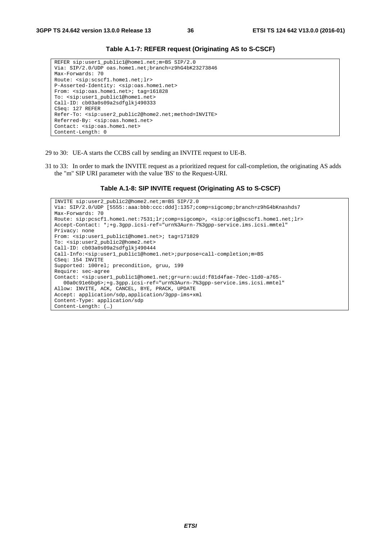| REFER sip:user1_public1@home1.net;m=BS SIP/2.0                      |
|---------------------------------------------------------------------|
| Via: SIP/2.0/UDP oas.home1.net;branch=z9hG4bK23273846               |
| Max-Forwards: 70                                                    |
| Route: <sip:scscf1.home1.net;lr></sip:scscf1.home1.net;lr>          |
| P-Asserted-Identity: <sip:oas.home1.net></sip:oas.home1.net>        |
| From: <sip:oas.home1.net>; taq=161828</sip:oas.home1.net>           |
| To: <sip:user1 public1@home1.net=""></sip:user1>                    |
| Call-ID: cb03a0s09a2sdfqlkj490333                                   |
| CSeq: 127 REFER                                                     |
| Refer-To: <sip:user2 public2@home2.net;method="INVITE"></sip:user2> |
| Referred-By: <sip:oas.home1.net></sip:oas.home1.net>                |
| Contact: <sip:oas.home1.net></sip:oas.home1.net>                    |
| Content-Length: 0                                                   |

**Table A.1-7: REFER request (Originating AS to S-CSCF)** 

29 to 30: UE-A starts the CCBS call by sending an INVITE request to UE-B.

31 to 33: In order to mark the INVITE request as a prioritized request for call-completion, the originating AS adds the "m" SIP URI parameter with the value 'BS' to the Request-URI.

#### **Table A.1-8: SIP INVITE request (Originating AS to S-CSCF)**

```
INVITE sip:user2_public2@home2.net;m=BS SIP/2.0 
Via: SIP/2.0/UDP [5555::aaa:bbb:ccc:ddd]:1357;comp=sigcomp;branch=z9hG4bKnashds7 
Max-Forwards: 70 
Route: sip:pcscf1.home1.net:7531;lr;comp=sigcomp>, <sip:orig@scscf1.home1.net;lr> 
Accept-Contact: *;+g.3gpp.icsi-ref="urn%3Aurn-7%3gpp-service.ims.icsi.mmtel" 
Privacy: none 
From: <sip:user1_public1@home1.net>; tag=171829 
To: <sip:user2_public2@home2.net> 
Call-ID: cb03a0s09a2sdfglkj490444 
Call-Info:<sip:user1_public1@home1.net>;purpose=call-completion;m=BS 
CSeq: 154 INVITE 
Supported: 100rel; precondition, gruu, 199 
Require: sec-agree 
Contact: <sip:user1_public1@home1.net;gr=urn:uuid:f81d4fae-7dec-11d0-a765-
   00a0c91e6bg6>;+g.3gpp.icsi-ref="urn%3Aurn-7%3gpp-service.ims.icsi.mmtel" 
Allow: INVITE, ACK, CANCEL, BYE, PRACK, UPDATE 
Accept: application/sdp,application/3gpp-ims+xml 
Content-Type: application/sdp 
Content-Length: (…)
```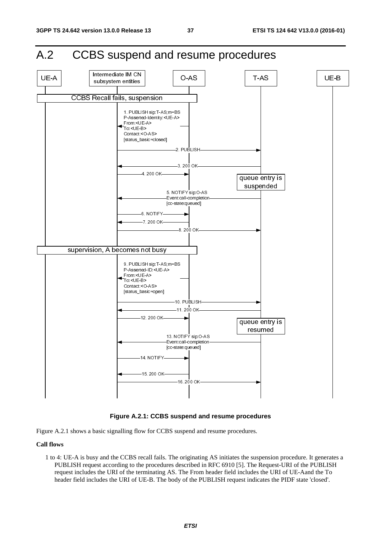

#### **Figure A.2.1: CCBS suspend and resume procedures**

Figure A.2.1 shows a basic signalling flow for CCBS suspend and resume procedures.

#### **Call flows**

1 to 4: UE-A is busy and the CCBS recall fails. The originating AS initiates the suspension procedure. It generates a PUBLISH request according to the procedures described in RFC 6910 [5]. The Request-URI of the PUBLISH request includes the URI of the terminating AS. The From header field includes the URI of UE-Aand the To header field includes the URI of UE-B. The body of the PUBLISH request indicates the PIDF state 'closed'.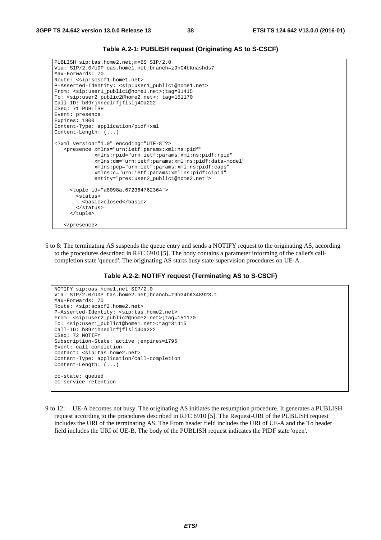```
PUBLISH sip:tas.home2.net;m=BS SIP/2.0 
Via: SIP/2.0/UDP oas.home1.net;branch=z9hG4bKnashds7 
Max-Forwards: 70 
Route: <sip:scscf1.home1.net> 
P-Asserted-Identity: <sip:user1_public1@home1.net> 
From: <sip:user1_public1@home1.net>;tag=31415 
To: <sip:user2_public2@home2.net>; tag=151170 
Call-ID: b89rjhnedlrfjflslj40a222 
CSeq: 71 PUBLISH 
Event: presence 
Expires: 1800 
Content-Type: application/pidf+xml 
Content-Length: (...) 
<?xml version="1.0" encoding="UTF-8"?> 
    <presence xmlns="urn:ietf:params:xml:ns:pidf" 
              xmlns:rpid="urn:ietf:params:xml:ns:pidf:rpid" 
              xmlns:dm="urn:ietf:params:xml:ns:pidf:data-model" 
               xmlns:pcp="urn:ietf:params:xml:ns:pidf:caps" 
               xmlns:c="urn:ietf:params:xml:ns:pidf:cipid" 
               entity="pres:user2_public1@home2.net"> 
      <tuple id="a8098a.672364762364"> 
        <status> 
          <basic>closed</basic> 
        </status> 
      </tuple> 
    </presence>
```
**Table A.2-1: PUBLISH request (Originating AS to S-CSCF)** 

5 to 8: The terminating AS suspends the queue entry and sends a NOTIFY request to the originating AS, according to the procedures described in RFC 6910 [5]. The body contains a parameter informing of the caller's callcompletion state 'queued'. The originating AS starts busy state supervision procedures on UE-A.

**Table A.2-2: NOTIFY request (Terminating AS to S-CSCF)** 

```
NOTIFY sip:oas.home1.net SIP/2.0 
Via: SIP/2.0/UDP tas.home2.net;branch=z9hG4bK348923.1 
Max-Forwards: 70 
Route: <sip:scscf2.home2.net> 
P-Asserted-Identity: <sip:tas.home2.net> 
From: <sip:user2_public2@home2.net>;tag=151170 
To: <sip:user1_public1@home1.net>;tag=31415 
Call-ID: b89rjhnedlrfjflslj40a222 
CSeq: 72 NOTIFY 
Subscription-State: active ;expires=1795 
Event: call-completion 
Contact: <sip:tas.home2.net> 
Content-Type: application/call-completion 
Content-Length: (...) 
cc-state: queued 
cc-service retention
```
9 to 12: UE-A becomes not busy. The originating AS initiates the resumption procedure. It generates a PUBLISH request according to the procedures described in RFC 6910 [5]. The Request-URI of the PUBLISH request includes the URI of the terminating AS. The From header field includes the URI of UE-A and the To header field includes the URI of UE-B. The body of the PUBLISH request indicates the PIDF state 'open'.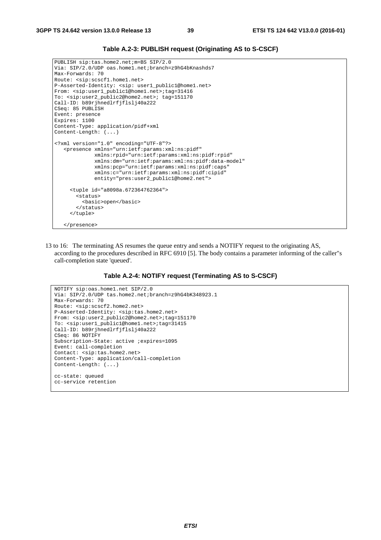```
PUBLISH sip:tas.home2.net;m=BS SIP/2.0 
Via: SIP/2.0/UDP oas.home1.net;branch=z9hG4bKnashds7 
Max-Forwards: 70 
Route: <sip:scscf1.home1.net> 
P-Asserted-Identity: <sip: user1_public1@home1.net> 
From: <sip:user1_public1@home1.net>;tag=31416 
To: <sip:user2_public2@home2.net>; tag=151170 
Call-ID: b89rjhnedlrfjflslj40a222 
CSeq: 85 PUBLISH 
Event: presence 
Expires: 1100 
Content-Type: application/pidf+xml 
Content-Length: (...) 
<?xml version="1.0" encoding="UTF-8"?> 
    <presence xmlns="urn:ietf:params:xml:ns:pidf" 
              xmlns:rpid="urn:ietf:params:xml:ns:pidf:rpid" 
               xmlns:dm="urn:ietf:params:xml:ns:pidf:data-model" 
               xmlns:pcp="urn:ietf:params:xml:ns:pidf:caps" 
               xmlns:c="urn:ietf:params:xml:ns:pidf:cipid" 
               entity="pres:user2_public1@home2.net"> 
      <tuple id="a8098a.672364762364"> 
        <status> 
          <basic>open</basic> 
        </status> 
      </tuple> 
    </presence>
```
**Table A.2-3: PUBLISH request (Originating AS to S-CSCF)** 

13 to 16: The terminating AS resumes the queue entry and sends a NOTIFY request to the originating AS, according to the procedures described in RFC 6910 [5]. The body contains a parameter informing of the caller"s call-completion state 'queued'.

#### **Table A.2-4: NOTIFY request (Terminating AS to S-CSCF)**

```
NOTIFY sip:oas.home1.net SIP/2.0 
Via: SIP/2.0/UDP tas.home2.net;branch=z9hG4bK348923.1 
Max-Forwards: 70 
Route: <sip:scscf2.home2.net> 
P-Asserted-Identity: <sip:tas.home2.net> 
From: <sip:user2_public2@home2.net>;tag=151170 
To: <sip:user1_public1@home1.net>;tag=31415 
Call-ID: b89rjhnedlrfjflslj40a222 
CSeq: 86 NOTIFY 
Subscription-State: active ;expires=1095 
Event: call-completion 
Contact: <sip:tas.home2.net> 
Content-Type: application/call-completion 
Content-Length: (...) 
cc-state: queued 
cc-service retention
```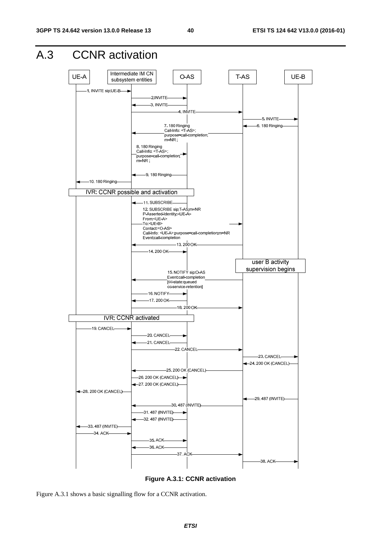

**Figure A.3.1: CCNR activation** 

Figure A.3.1 shows a basic signalling flow for a CCNR activation.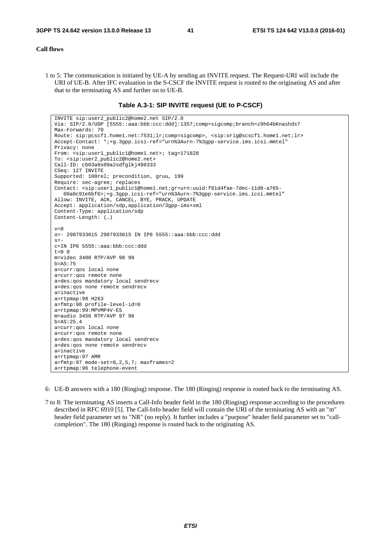#### **Call flows**

1 to 5: The communication is initiated by UE-A by sending an INVITE request. The Request-URI will include the URI of UE-B. After IFC evaluation in the S-CSCF the INVITE request is routed to the originating AS and after that to the terminating AS and further on to UE-B.

#### **Table A.3-1: SIP INVITE request (UE to P-CSCF)**

```
INVITE sip:user2_public2@home2.net SIP/2.0 
Via: SIP/2.0/UDP [5555::aaa:bbb:ccc:ddd]:1357;comp=sigcomp;branch=z9hG4bKnashds7 
Max-Forwards: 70 
Route: sip:pcscf1.home1.net:7531;lr;comp=sigcomp>, <sip:orig@scscf1.home1.net;lr> 
Accept-Contact: *;+g.3gpp.icsi-ref="urn%3Aurn-7%3gpp-service.ims.icsi.mmtel" 
Privacy: none 
From: <sip:user1 public1@home1.net>; tag=171828
To: <sip:user2_public2@home2.net> 
Call-ID: cb03a0s09a2sdfglkj490333 
CSeq: 127 INVITE 
Supported: 100rel; precondition, gruu, 199 
Require: sec-agree; replaces 
Contact: <sip:user1_public1@home1.net;gr=urn:uuid:f81d4fae-7dec-11d0-a765-
   00a0c91e6bf6>;+g.3gpp.icsi-ref="urn%3Aurn-7%3gpp-service.ims.icsi.mmtel" 
Allow: INVITE, ACK, CANCEL, BYE, PRACK, UPDATE 
Accept: application/sdp,application/3gpp-ims+xml 
Content-Type: application/sdp 
Content-Length: (…) 
v=0o=- 2987933615 2987933615 IN IP6 5555::aaa:bbb:ccc:ddd 
s=-c=IN IP6 5555::aaa:bbb:ccc:ddd 
t=0 0
m=video 3400 RTP/AVP 98 99 
b=AS:75 
a=curr:qos local none 
a=curr:qos remote none 
a=des:qos mandatory local sendrecv 
a=des:qos none remote sendrecv 
a=inactive 
a=rtpmap:98 H263 
a=fmtp:98 profile-level-id=0 
a=rtpmap:99:MPVMP4V-ES 
m=audio 3456 RTP/AVP 97 96 
b=AS:25.4 
a=curr:qos local none 
a=curr:qos remote none 
a=des:qos mandatory local sendrecv 
a=des:qos none remote sendrecv 
a=inactive 
a=rtpmap:97 AMR 
a = fmtp:97 mode-set=0, 2, 5, 7; maxframes=2
a=rtpmap:96 telephone-event
```
6: UE-B answers with a 180 (Ringing) response. The 180 (Ringing) response is routed back to the terminating AS.

7 to 8: The terminating AS inserts a Call-Info header field in the 180 (Ringing) response according to the procedures described in RFC 6910 [5]. The Call-Info header field will contain the URI of the terminating AS with an "m" header field parameter set to "NR" (no reply). It further includes a "purpose" header field parameter set to "callcompletion". The 180 (Ringing) response is routed back to the originating AS.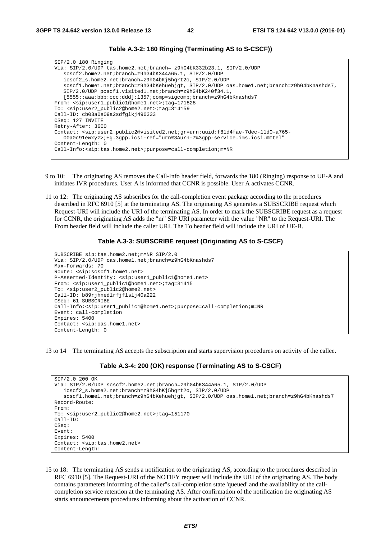| $SIP/2.0$ 180 Ringing                                                                                                                                        |
|--------------------------------------------------------------------------------------------------------------------------------------------------------------|
| Via: SIP/2.0/UDP tas.home2.net;branch= z9hG4bK332b23.1, SIP/2.0/UDP                                                                                          |
| scscf2.home2.net;branch=z9hG4bK344a65.1, SIP/2.0/UDP                                                                                                         |
| icscf2 s.home2.net;branch=z9hG4bKj5hqrt2o, SIP/2.0/UDP                                                                                                       |
| scscf1.home1.net;branch=z9hG4bKehuehjqt, SIP/2.0/UDP oas.home1.net;branch=z9hG4bKnashds7,                                                                    |
| SIP/2.0/UDP pcscf1.visited1.net;branch=z9hG4bK240f34.1,                                                                                                      |
| [5555::aaa:bbb:ccc:ddd]:1357;comp=sigcomp;branch=z9hG4bKnashds7                                                                                              |
| From: <sip:user1_public1@home1.net>;tag=171828</sip:user1_public1@home1.net>                                                                                 |
| To: <sip:user2 public2@home2.net="">;taq=314159</sip:user2>                                                                                                  |
| Call-ID: cb03a0s09a2sdfqlkj490333                                                                                                                            |
| CSeq: 127 INVITE                                                                                                                                             |
| Retry-After: 3600                                                                                                                                            |
| Contact: <sip:user2_public2@visited2.net;gr=urn:uuid:f81d4fae-7dec-11d0-a765-< td=""></sip:user2_public2@visited2.net;gr=urn:uuid:f81d4fae-7dec-11d0-a765-<> |
| 00a0c91ewxyz>;+q.3qpp.icsi-ref="urn%3Aurn-7%3qpp-service.ims.icsi.mmtel"                                                                                     |
| Content-Length: 0                                                                                                                                            |
| Call-Info: <sip:tas.home2.net>;purpose=call-completion;m=NR</sip:tas.home2.net>                                                                              |
|                                                                                                                                                              |

**Table A.3-2: 180 Ringing (Terminating AS to S-CSCF))** 

- 9 to 10: The originating AS removes the Call-Info header field, forwards the 180 (Ringing) response to UE-A and initiates IVR procedures. User A is informed that CCNR is possible. User A activates CCNR.
- 11 to 12: The originating AS subscribes for the call-completion event package according to the procedures described in RFC 6910 [5] at the terminating AS. The originating AS generates a SUBSCRIBE request which Request-URI will include the URI of the terminating AS. In order to mark the SUBSCRIBE request as a request for CCNR, the originating AS adds the "m" SIP URI parameter with the value "NR" to the Request-URI. The From header field will include the caller URI. The To header field will include the URI of UE-B.

#### **Table A.3-3: SUBSCRIBE request (Originating AS to S-CSCF)**

```
SUBSCRIBE sip:tas.home2.net;m=NR SIP/2.0 
Via: SIP/2.0/UDP oas.home1.net;branch=z9hG4bKnashds7 
Max-Forwards: 70 
Route: <sip:scscf1.home1.net> 
P-Asserted-Identity: <sip:user1_public1@home1.net> 
From: <sip:user1_public1@home1.net>;tag=31415 
To: <sip:user2_public2@home2.net> 
Call-ID: b89rjhnedlrfjflslj40a222 
CSeq: 61 SUBSCRIBE 
Call-Info:<sip:user1_public1@home1.net>;purpose=call-completion;m=NR 
Event: call-completion 
Expires: 5400 
Contact: <sip:oas.home1.net> 
Content-Length: 0
```
13 to 14 The terminating AS accepts the subscription and starts supervision procedures on activity of the callee.

**Table A.3-4: 200 (OK) response (Terminating AS to S-CSCF)** 

```
SIP/2.0 200 OK 
Via: SIP/2.0/UDP scscf2.home2.net;branch=z9hG4bK344a65.1, SIP/2.0/UDP 
  icscf2_s.home2.net;branch=z9hG4bKj5hgrt2o, SIP/2.0/UDP 
   scscf1.home1.net;branch=z9hG4bKehuehjgt, SIP/2.0/UDP oas.home1.net;branch=z9hG4bKnashds7 
Record-Route: 
From: 
To: <sip:user2_public2@home2.net>;tag=151170 
Call-ID: 
CSeq:
Event: 
Expires: 5400 
Contact: <sip:tas.home2.net> 
Content-Length:
```
15 to 18: The terminating AS sends a notification to the originating AS, according to the procedures described in RFC 6910 [5]. The Request-URI of the NOTIFY request will include the URI of the originating AS. The body contains parameters informing of the caller"s call-completion state 'queued' and the availability of the callcompletion service retention at the terminating AS. After confirmation of the notification the originating AS starts announcements procedures informing about the activation of CCNR.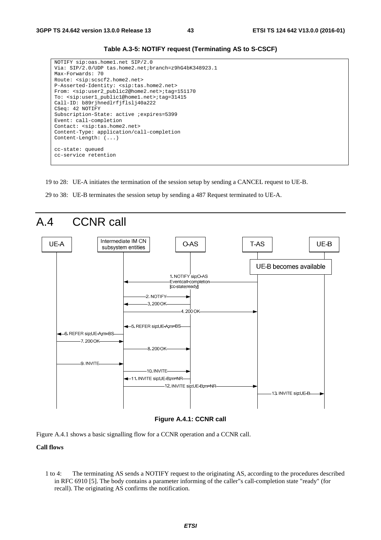```
NOTIFY sip:oas.home1.net SIP/2.0 
Via: SIP/2.0/UDP tas.home2.net;branch=z9hG4bK348923.1 
Max-Forwards: 70 
Route: <sip:scscf2.home2.net> 
P-Asserted-Identity: <sip:tas.home2.net> 
From: <sip:user2_public2@home2.net>;tag=151170 
To: <sip:user1_public1@home1.net>;tag=31415 
Call-ID: b89rjhnedlrfjflslj40a222 
CSeq: 42 NOTIFY 
Subscription-State: active ;expires=5399 
Event: call-completion 
Contact: <sip:tas.home2.net> 
Content-Type: application/call-completion 
Content-Length: (...) 
cc-state: queued 
cc-service retention
```


19 to 28: UE-A initiates the termination of the session setup by sending a CANCEL request to UE-B.

29 to 38: UE-B terminates the session setup by sending a 487 Request terminated to UE-A.



**Figure A.4.1: CCNR call** 



#### **Call flows**

1 to 4: The terminating AS sends a NOTIFY request to the originating AS, according to the procedures described in RFC 6910 [5]. The body contains a parameter informing of the caller"s call-completion state "ready" (for recall). The originating AS confirms the notification.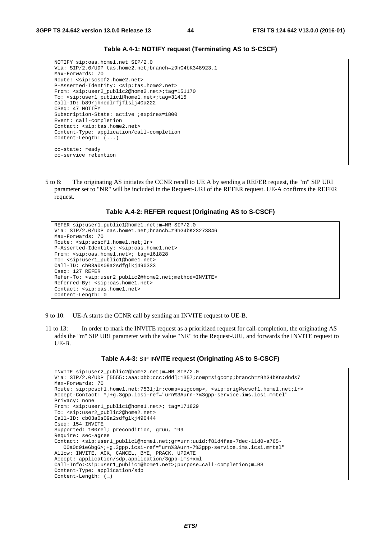```
NOTIFY sip:oas.home1.net SIP/2.0 
Via: SIP/2.0/UDP tas.home2.net;branch=z9hG4bK348923.1 
Max-Forwards: 70 
Route: <sip:scscf2.home2.net> 
P-Asserted-Identity: <sip:tas.home2.net> 
From: <sip:user2_public2@home2.net>;tag=151170 
To: <sip:user1_public1@home1.net>;tag=31415 
Call-ID: b89rjhnedlrfjflslj40a222 
CSeq: 47 NOTIFY 
Subscription-State: active ;expires=1800 
Event: call-completion 
Contact: <sip:tas.home2.net> 
Content-Type: application/call-completion 
Content-Length: (...) 
cc-state: ready 
cc-service retention
```
#### **Table A.4-1: NOTIFY request (Terminating AS to S-CSCF)**

5 to 8: The originating AS initiates the CCNR recall to UE A by sending a REFER request, the "m" SIP URI parameter set to "NR" will be included in the Request-URI of the REFER request. UE-A confirms the REFER request.

**Table A.4-2: REFER request (Originating AS to S-CSCF)** 

```
REFER sip:user1_public1@home1.net;m=NR SIP/2.0 
Via: SIP/2.0/UDP oas.home1.net;branch=z9hG4bK23273846 
Max-Forwards: 70 
Route: <sip:scscf1.home1.net;lr> 
P-Asserted-Identity: <sip:oas.home1.net> 
From: <sip:oas.home1.net>; tag=161828
To: <sip:user1_public1@home1.net> 
Call-ID: cb03a0s09a2sdfglkj490333 
Cseq: 127 REFER 
Refer-To: <sip:user2_public2@home2.net;method=INVITE> 
Referred-By: <sip:oas.home1.net> 
Contact: <sip:oas.home1.net> 
Content-Length: 0
```
9 to 10: UE-A starts the CCNR call by sending an INVITE request to UE-B.

11 to 13: In order to mark the INVITE request as a prioritized request for call-completion, the originating AS adds the "m" SIP URI parameter with the value "NR" to the Request-URI, and forwards the INVITE request to UE-B.

**Table A.4-3:** SIP IN**VITE request (Originating AS to S-CSCF)** 

```
INVITE sip:user2_public2@home2.net;m=NR SIP/2.0 
Via: SIP/2.0/UDP [5555::aaa:bbb:ccc:ddd]:1357;comp=sigcomp;branch=z9hG4bKnashds7 
Max-Forwards: 70 
Route: sip:pcscf1.home1.net:7531;lr;comp=sigcomp>, <sip:orig@scscf1.home1.net;lr> 
Accept-Contact: *;+g.3gpp.icsi-ref="urn%3Aurn-7%3gpp-service.ims.icsi.mmtel" 
Privacy: none 
From: <sip:user1_public1@home1.net>; tag=171829 
To: <sip:user2_public2@home2.net> 
Call-ID: cb03a0s09a2sdfglkj490444 
Cseq: 154 INVITE 
Supported: 100rel; precondition, gruu, 199 
Require: sec-agree 
Contact: <sip:user1_public1@home1.net;gr=urn:uuid:f81d4fae-7dec-11d0-a765-
   00a0c91e6bg6>;+g.3gpp.icsi-ref="urn%3Aurn-7%3gpp-service.ims.icsi.mmtel" 
Allow: INVITE, ACK, CANCEL, BYE, PRACK, UPDATE 
Accept: application/sdp,application/3gpp-ims+xml 
Call-Info:<sip:user1_public1@home1.net>;purpose=call-completion;m=BS 
Content-Type: application/sdp 
Content-Length: (…)
```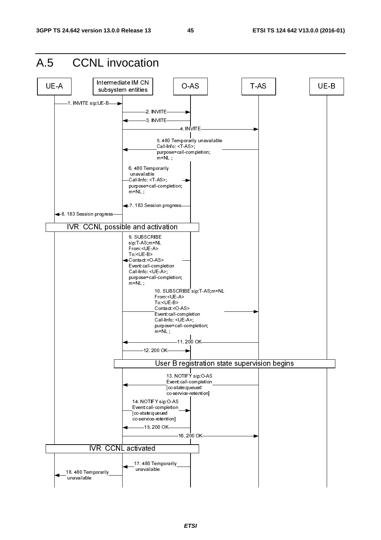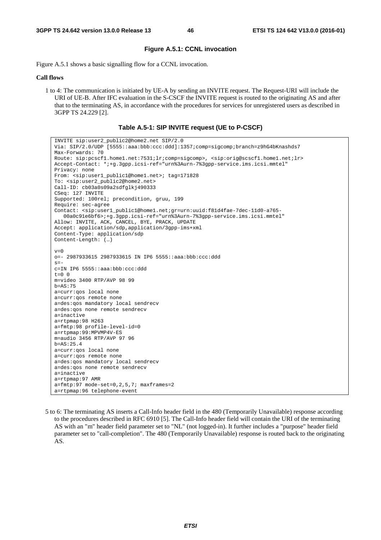#### **Figure A.5.1: CCNL invocation**

Figure A.5.1 shows a basic signalling flow for a CCNL invocation.

#### **Call flows**

1 to 4: The communication is initiated by UE-A by sending an INVITE request. The Request-URI will include the URI of UE-B. After IFC evaluation in the S-CSCF the INVITE request is routed to the originating AS and after that to the terminating AS, in accordance with the procedures for services for unregistered users as described in 3GPP TS 24.229 [2].

#### **Table A.5-1: SIP INVITE request (UE to P-CSCF)**

```
INVITE sip:user2_public2@home2.net SIP/2.0 
Via: SIP/2.0/UDP [5555::aaa:bbb:ccc:ddd]:1357;comp=sigcomp;branch=z9hG4bKnashds7 
Max-Forwards: 70 
Route: sip:pcscf1.home1.net:7531;lr;comp=sigcomp>, <sip:orig@scscf1.home1.net;lr> 
Accept-Contact: *;+g.3gpp.icsi-ref="urn%3Aurn-7%3gpp-service.ims.icsi.mmtel" 
Privacy: none 
From: <sip:user1_public1@home1.net>; tag=171828 
To: <sip:user2_public2@home2.net> 
Call-ID: cb03a0s09a2sdfglkj490333 
CSeq: 127 INVITE 
Supported: 100rel; precondition, gruu, 199 
Require: sec-agree 
Contact: <sip:user1_public1@home1.net;gr=urn:uuid:f81d4fae-7dec-11d0-a765-
   00a0c91e6bf6>;+g.3gpp.icsi-ref="urn%3Aurn-7%3gpp-service.ims.icsi.mmtel" 
Allow: INVITE, ACK, CANCEL, BYE, PRACK, UPDATE 
Accept: application/sdp,application/3gpp-ims+xml 
Content-Type: application/sdp 
Content-Length: (…) 
v=0o=- 2987933615 2987933615 IN IP6 5555::aaa:bbb:ccc:ddd 
s=-c=IN IP6 5555::aaa:bbb:ccc:ddd 
t=0 0
m=video 3400 RTP/AVP 98 99 
b=AS:75 
a=curr:qos local none 
a=curr:qos remote none 
a=des:qos mandatory local sendrecv 
a=des:qos none remote sendrecv 
a=inactive 
a=rtpmap:98 H263 
a=fmtp:98 profile-level-id=0 
a=rtpmap:99:MPVMP4V-ES 
m=audio 3456 RTP/AVP 97 96 
b=AS:25.4 
a=curr:qos local none 
a=curr:qos remote none 
a=des:qos mandatory local sendrecv 
a=des:qos none remote sendrecv 
a=inactive 
a=rtpmap:97 AMR 
a=fmtp:97 mode-set=0,2,5,7; maxframes=2 
a=rtpmap:96 telephone-event
```
5 to 6: The terminating AS inserts a Call-Info header field in the 480 (Temporarily Unavailable) response according to the procedures described in RFC 6910 [5]. The Call-Info header field will contain the URI of the terminating AS with an "m" header field parameter set to "NL" (not logged-in). It further includes a "purpose" header field parameter set to "call-completion". The 480 (Temporarily Unavailable) response is routed back to the originating AS.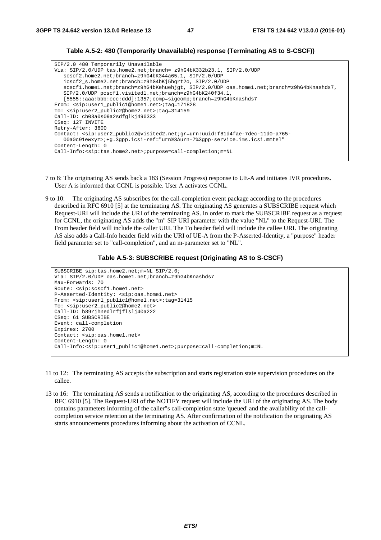#### **Table A.5-2: 480 (Temporarily Unavailable) response (Terminating AS to S-CSCF))**

| SIP/2.0 480 Temporarily Unavailable                                                                 |
|-----------------------------------------------------------------------------------------------------|
| Via: SIP/2.0/UDP tas.home2.net;branch= z9hG4bK332b23.1, SIP/2.0/UDP                                 |
| scscf2.home2.net;branch=z9hG4bK344a65.1, SIP/2.0/UDP                                                |
| icscf2 s.home2.net;branch=z9hG4bKj5hqrt2o, SIP/2.0/UDP                                              |
| scscf1.home1.net;branch=z9hG4bKehuehjqt, SIP/2.0/UDP oas.home1.net;branch=z9hG4bKnashds7,           |
| SIP/2.0/UDP pcscf1.visited1.net;branch=z9hG4bK240f34.1,                                             |
| [5555::aaa:bbb:ccc:ddd]:1357;comp=sigcomp;branch=z9hG4bKnashds7                                     |
| From: <sip:user1 public1@home1.net="">;taq=171828</sip:user1>                                       |
| To: <sip:user2 public2@home2.net="">;taq=314159</sip:user2>                                         |
| Call-ID: cb03a0s09a2sdfqlkj490333                                                                   |
| CSeq: 127 INVITE                                                                                    |
| Retry-After: 3600                                                                                   |
| Contact: <sip:user2 public2@visited2.net;qr="urn:uuid:f81d4fae-7dec-11d0-a765-&lt;/td"></sip:user2> |
| 00a0c91ewxyz>;+q.3qpp.icsi-ref="urn%3Aurn-7%3qpp-service.ims.icsi.mmtel"                            |
| Content-Length: 0                                                                                   |
| Call-Info: <sip:tas.home2.net>;purpose=call-completion;m=NL</sip:tas.home2.net>                     |
|                                                                                                     |

- 7 to 8: The originating AS sends back a 183 (Session Progress) response to UE-A and initiates IVR procedures. User A is informed that CCNL is possible. User A activates CCNL.
- 9 to 10: The originating AS subscribes for the call-completion event package according to the procedures described in RFC 6910 [5] at the terminating AS. The originating AS generates a SUBSCRIBE request which Request-URI will include the URI of the terminating AS. In order to mark the SUBSCRIBE request as a request for CCNL, the originating AS adds the "m" SIP URI parameter with the value "NL" to the Request-URI. The From header field will include the caller URI. The To header field will include the callee URI. The originating AS also adds a Call-Info header field with the URI of UE-A from the P-Asserted-Identity, a "purpose" header field parameter set to "call-completion", and an m-parameter set to "NL".

#### **Table A.5-3: SUBSCRIBE request (Originating AS to S-CSCF)**

```
SUBSCRIBE sip:tas.home2.net;m=NL SIP/2.0; 
Via: SIP/2.0/UDP oas.home1.net;branch=z9hG4bKnashds7 
Max-Forwards: 70 
Route: <sip:scscf1.home1.net> 
P-Asserted-Identity: <sip:oas.home1.net> 
From: <sip:user1_public1@home1.net>;tag=31415 
To: <sip:user2_public2@home2.net> 
Call-ID: b89rjhnedlrfjflslj40a222 
CSeq: 61 SUBSCRIBE 
Event: call-completion 
Expires: 2700 
Contact: <sip:oas.home1.net> 
Content-Length: 0 
Call-Info:<sip:user1_public1@home1.net>;purpose=call-completion;m=NL
```
- 11 to 12: The terminating AS accepts the subscription and starts registration state supervision procedures on the callee.
- 13 to 16: The terminating AS sends a notification to the originating AS, according to the procedures described in RFC 6910 [5]. The Request-URI of the NOTIFY request will include the URI of the originating AS. The body contains parameters informing of the caller"s call-completion state 'queued' and the availability of the callcompletion service retention at the terminating AS. After confirmation of the notification the originating AS starts announcements procedures informing about the activation of CCNL.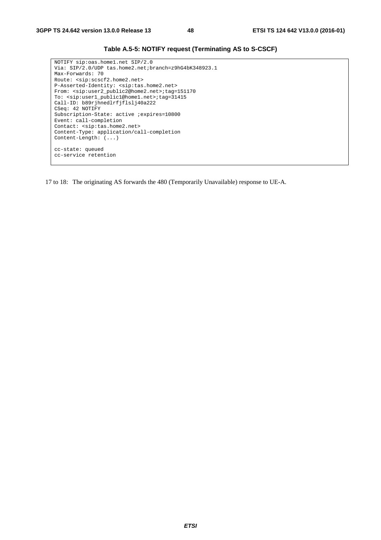```
NOTIFY sip:oas.home1.net SIP/2.0 
Via: SIP/2.0/UDP tas.home2.net;branch=z9hG4bK348923.1 
Max-Forwards: 70 
Route: <sip:scscf2.home2.net> 
P-Asserted-Identity: <sip:tas.home2.net> 
From: <sip:user2_public2@home2.net>;tag=151170 
To: <sip:user1_public1@home1.net>;tag=31415 
Call-ID: b89rjhnedlrfjflslj40a222 
CSeq: 42 NOTIFY 
Subscription-State: active ;expires=10800 
Event: call-completion 
Contact: <sip:tas.home2.net> 
Content-Type: application/call-completion 
Content-Length: (...) 
cc-state: queued 
cc-service retention
```
**Table A.5-5: NOTIFY request (Terminating AS to S-CSCF)** 

17 to 18: The originating AS forwards the 480 (Temporarily Unavailable) response to UE-A.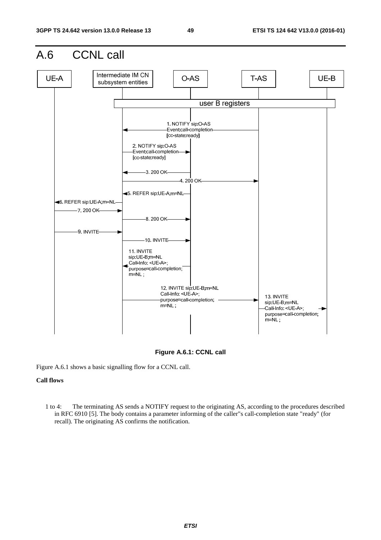

**Figure A.6.1: CCNL call** 

Figure A.6.1 shows a basic signalling flow for a CCNL call.

### **Call flows**

1 to 4: The terminating AS sends a NOTIFY request to the originating AS, according to the procedures described in RFC 6910 [5]. The body contains a parameter informing of the caller"s call-completion state "ready" (for recall). The originating AS confirms the notification.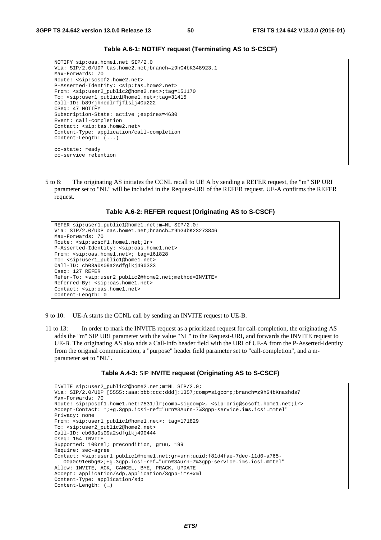```
NOTIFY sip:oas.home1.net SIP/2.0 
Via: SIP/2.0/UDP tas.home2.net;branch=z9hG4bK348923.1 
Max-Forwards: 70 
Route: <sip:scscf2.home2.net> 
P-Asserted-Identity: <sip:tas.home2.net> 
From: <sip:user2_public2@home2.net>;tag=151170 
To: <sip:user1_public1@home1.net>;tag=31415 
Call-ID: b89rjhnedlrfjflslj40a222 
CSeq: 47 NOTIFY 
Subscription-State: active ;expires=4630 
Event: call-completion 
Contact: <sip:tas.home2.net> 
Content-Type: application/call-completion 
Content-Length: (...) 
cc-state: ready 
cc-service retention
```
#### **Table A.6-1: NOTIFY request (Terminating AS to S-CSCF)**

5 to 8: The originating AS initiates the CCNL recall to UE A by sending a REFER request, the "m" SIP URI parameter set to "NL" will be included in the Request-URI of the REFER request. UE-A confirms the REFER request.

**Table A.6-2: REFER request (Originating AS to S-CSCF)** 

```
REFER sip:user1_public1@home1.net;m=NL SIP/2.0; 
Via: SIP/2.0/UDP oas.home1.net;branch=z9hG4bK23273846 
Max-Forwards: 70 
Route: <sip:scscf1.home1.net;lr> 
P-Asserted-Identity: <sip:oas.home1.net> 
From: <sip:oas.home1.net>; tag=161828
To: <sip:user1_public1@home1.net> 
Call-ID: cb03a0s09a2sdfglkj490333 
Cseq: 127 REFER 
Refer-To: <sip:user2_public2@home2.net;method=INVITE> 
Referred-By: <sip:oas.home1.net> 
Contact: <sip:oas.home1.net> 
Content-Length: 0
```
9 to 10: UE-A starts the CCNL call by sending an INVITE request to UE-B.

11 to 13: In order to mark the INVITE request as a prioritized request for call-completion, the originating AS adds the "m" SIP URI parameter with the value "NL" to the Request-URI, and forwards the INVITE request to UE-B. The originating AS also adds a Call-Info header field with the URI of UE-A from the P-Asserted-Identity from the original communication, a "purpose" header field parameter set to "call-completion", and a mparameter set to "NL".

#### **Table A.4-3:** SIP IN**VITE request (Originating AS to S-CSCF)**

```
INVITE sip:user2_public2@home2.net;m=NL SIP/2.0; 
Via: SIP/2.0/UDP [5555::aaa:bbb:ccc:ddd]:1357;comp=sigcomp;branch=z9hG4bKnashds7 
Max-Forwards: 70 
Route: sip:pcscf1.home1.net:7531;lr;comp=sigcomp>, <sip:orig@scscf1.home1.net;lr> 
Accept-Contact: *;+g.3gpp.icsi-ref="urn%3Aurn-7%3gpp-service.ims.icsi.mmtel" 
Privacy: none 
From: <sip:user1_public1@home1.net>; tag=171829 
To: <sip:user2_public2@home2.net> 
Call-ID: cb03a0s09a2sdfglkj490444 
Cseq: 154 INVITE 
Supported: 100rel; precondition, gruu, 199 
Require: sec-agree 
Contact: <sip:user1_public1@home1.net;gr=urn:uuid:f81d4fae-7dec-11d0-a765-
   00a0c91e6bg6>;+g.3gpp.icsi-ref="urn%3Aurn-7%3gpp-service.ims.icsi.mmtel" 
Allow: INVITE, ACK, CANCEL, BYE, PRACK, UPDATE 
Accept: application/sdp,application/3gpp-ims+xml 
Content-Type: application/sdp 
Content-Length: (…)
```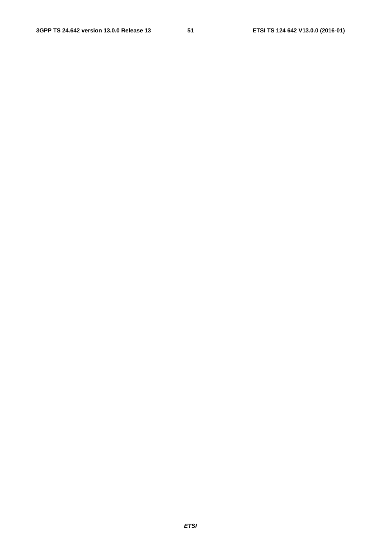*ETSI*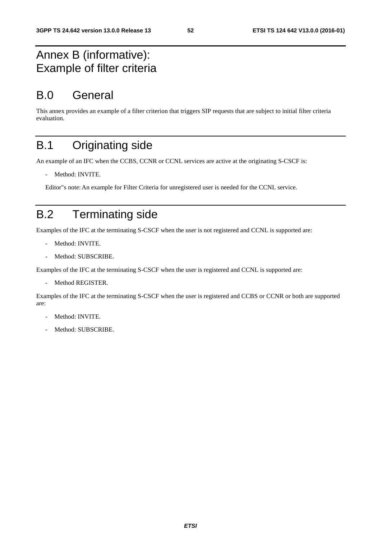## Annex B (informative): Example of filter criteria

## B.0 General

This annex provides an example of a filter criterion that triggers SIP requests that are subject to initial filter criteria evaluation.

## B.1 Originating side

An example of an IFC when the CCBS, CCNR or CCNL services are active at the originating S-CSCF is:

- Method: INVITE.

Editor"s note: An example for Filter Criteria for unregistered user is needed for the CCNL service.

## B.2 Terminating side

Examples of the IFC at the terminating S-CSCF when the user is not registered and CCNL is supported are:

- Method: INVITE.
- Method: SUBSCRIBE.

Examples of the IFC at the terminating S-CSCF when the user is registered and CCNL is supported are:

- Method REGISTER.

Examples of the IFC at the terminating S-CSCF when the user is registered and CCBS or CCNR or both are supported are:

- Method: INVITE.
- Method: SUBSCRIBE.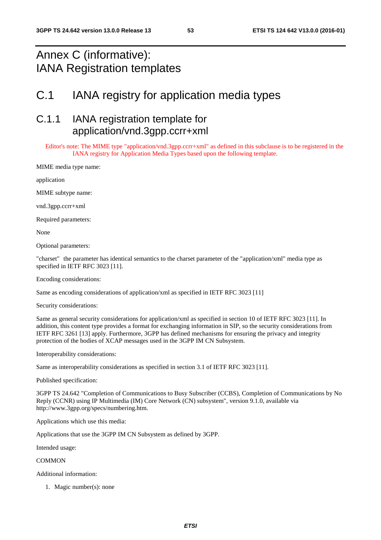## Annex C (informative): IANA Registration templates

## C.1 IANA registry for application media types

## C.1.1 IANA registration template for application/vnd.3gpp.ccrr+xml

Editor's note: The MIME type "application/vnd.3gpp.ccrr+xml" as defined in this subclause is to be registered in the IANA registry for Application Media Types based upon the following template.

MIME media type name:

application

MIME subtype name:

vnd.3gpp.ccrr+xml

Required parameters:

None

Optional parameters:

"charset" the parameter has identical semantics to the charset parameter of the "application/xml" media type as specified in IETF RFC 3023 [11].

Encoding considerations:

Same as encoding considerations of application/xml as specified in IETF RFC 3023 [11]

Security considerations:

Same as general security considerations for application/xml as specified in section 10 of IETF RFC 3023 [11]. In addition, this content type provides a format for exchanging information in SIP, so the security considerations from IETF RFC 3261 [13] apply. Furthermore, 3GPP has defined mechanisms for ensuring the privacy and integrity protection of the bodies of XCAP messages used in the 3GPP IM CN Subsystem.

Interoperability considerations:

Same as interoperability considerations as specified in section 3.1 of IETF RFC 3023 [11].

Published specification:

3GPP TS 24.642 "Completion of Communications to Busy Subscriber (CCBS), Completion of Communications by No Reply (CCNR) using IP Multimedia (IM) Core Network (CN) subsystem", version 9.1.0, available via http://www.3gpp.org/specs/numbering.htm.

Applications which use this media:

Applications that use the 3GPP IM CN Subsystem as defined by 3GPP.

Intended usage:

#### **COMMON**

Additional information:

1. Magic number(s): none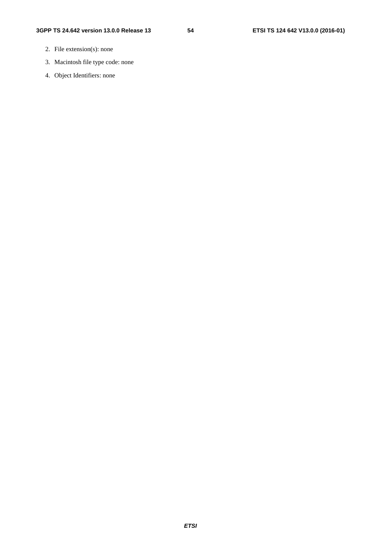- 2. File extension(s): none
- 3. Macintosh file type code: none
- 4. Object Identifiers: none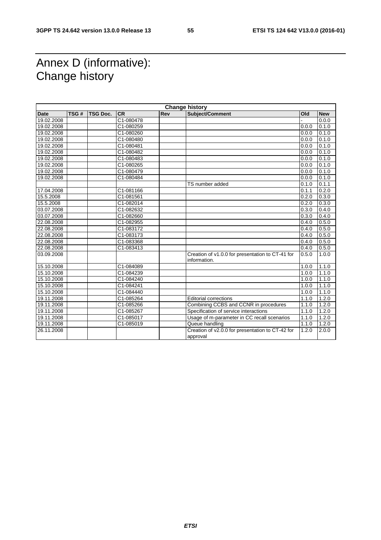## Annex D (informative): Change history

| <b>Change history</b> |      |                 |           |     |                                                                  |       |            |
|-----------------------|------|-----------------|-----------|-----|------------------------------------------------------------------|-------|------------|
| <b>Date</b>           | TSG# | <b>TSG Doc.</b> | CR        | Rev | Subject/Comment                                                  | Old   | <b>New</b> |
| 19.02.2008            |      |                 | C1-080478 |     |                                                                  |       | 0.0.0      |
| 19.02.2008            |      |                 | C1-080259 |     |                                                                  | 0.0.0 | 0.1.0      |
| 19.02.2008            |      |                 | C1-080260 |     |                                                                  | 0.0.0 | 0.1.0      |
| 19.02.2008            |      |                 | C1-080480 |     |                                                                  | 0.0.0 | 0.1.0      |
| 19.02.2008            |      |                 | C1-080481 |     |                                                                  | 0.0.0 | 0.1.0      |
| 19.02.2008            |      |                 | C1-080482 |     |                                                                  | 0.0.0 | 0.1.0      |
| 19.02.2008            |      |                 | C1-080483 |     |                                                                  | 0.0.0 | 0.1.0      |
| 19.02.2008            |      |                 | C1-080265 |     |                                                                  | 0.0.0 | 0.1.0      |
| 19.02.2008            |      |                 | C1-080479 |     |                                                                  | 0.0.0 | 0.1.0      |
| 19.02.2008            |      |                 | C1-080484 |     |                                                                  | 0.0.0 | 0.1.0      |
|                       |      |                 |           |     | TS number added                                                  | 0.1.0 | 0.1.1      |
| 17.04.2008            |      |                 | C1-081166 |     |                                                                  | 0.1.1 | 0.2.0      |
| 15.5.2008             |      |                 | C1-081561 |     |                                                                  | 0.2.0 | 0.3.0      |
| 15.5.2008             |      |                 | C1-082014 |     |                                                                  | 0.2.0 | 0.3.0      |
| 03.07.2008            |      |                 | C1-082632 |     |                                                                  | 0.3.0 | 0.4.0      |
| 03.07.2008            |      |                 | C1-082660 |     |                                                                  | 0.3.0 | 0.4.0      |
| 22.08.2008            |      |                 | C1-082955 |     |                                                                  | 0.4.0 | 0.5.0      |
| 22.08.2008            |      |                 | C1-083172 |     |                                                                  | 0.4.0 | 0.5.0      |
| 22.08.2008            |      |                 | C1-083173 |     |                                                                  | 0.4.0 | 0.5.0      |
| 22.08.2008            |      |                 | C1-083368 |     |                                                                  | 0.4.0 | 0.5.0      |
| 22.08.2008            |      |                 | C1-083413 |     |                                                                  | 0.4.0 | 0.5.0      |
| 03.09.2008            |      |                 |           |     | Creation of v1.0.0 for presentation to CT-41 for<br>information. | 0.5.0 | 1.0.0      |
| 15.10.2008            |      |                 | C1-084089 |     |                                                                  | 1.0.0 | 1.1.0      |
| 15.10.2008            |      |                 | C1-084239 |     |                                                                  | 1.0.0 | 1.1.0      |
| 15.10.2008            |      |                 | C1-084240 |     |                                                                  | 1.0.0 | 1.1.0      |
| 15.10.2008            |      |                 | C1-084241 |     |                                                                  | 1.0.0 | 1.1.0      |
| 15.10.2008            |      |                 | C1-084440 |     |                                                                  | 1.0.0 | 1.1.0      |
| 19.11.2008            |      |                 | C1-085264 |     | <b>Editorial corrections</b>                                     | 1.1.0 | 1.2.0      |
| 19.11.2008            |      |                 | C1-085266 |     | Combining CCBS and CCNR in procedures                            | 1.1.0 | 1.2.0      |
| 19.11.2008            |      |                 | C1-085267 |     | Specification of service interactions                            | 1.1.0 | 1.2.0      |
| 19.11.2008            |      |                 | C1-085017 |     | Usage of m-parameter in CC recall scenarios                      | 1.1.0 | 1.2.0      |
| 19.11.2008            |      |                 | C1-085019 |     | Queue handling                                                   | 1.1.0 | 1.2.0      |
| 26.11.2008            |      |                 |           |     | Creation of v2.0.0 for presentation to CT-42 for<br>approval     | 1.2.0 | 2.0.0      |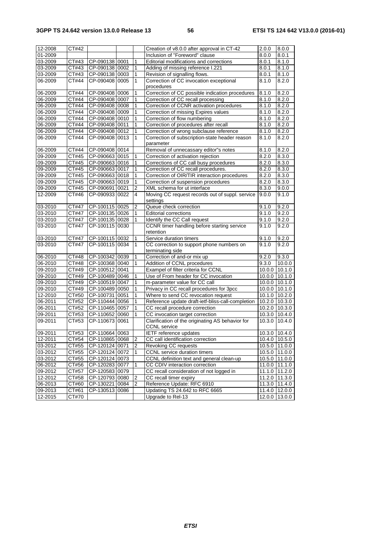| 12-2008            | CT#42 |                                        |        | Creation of v8.0.0 after approval in CT-42                                 | 2.0.0                            | 8.0.0  |
|--------------------|-------|----------------------------------------|--------|----------------------------------------------------------------------------|----------------------------------|--------|
| 01-2009            |       |                                        |        | Inclusion of "Foreword" clause                                             | 8.0.0                            | 8.0.1  |
| 03-2009            | CT#43 | CP-090138 0001                         | 1      | Editorial modifications and corrections                                    | 8.0.1                            | 8.1.0  |
| 03-2009            | CT#43 | CP-090138 0002                         | 1      | Adding of missing reference I.221                                          | 8.0.1                            | 8.1.0  |
| 03-2009            | CT#43 | CP-090138 0003                         | 1      | Revision of signalling flows.                                              | 8.0.1                            | 8.1.0  |
| 06-2009            | CT#44 | CP-090408 0005                         | 1      | Correction of CC invocation exceptional                                    | 8.1.0                            | 8.2.0  |
|                    |       |                                        |        | procedures                                                                 |                                  |        |
| 06-2009            | CT#44 | CP-090408 0006                         | 1      | Correction of CC possible indication procedures                            | 8.1.0                            | 8.2.0  |
| $06 - 2009$        | CT#44 | CP-090408 0007                         | 1      | Correction of CC recall processing                                         | 8.1.0                            | 8.2.0  |
| $06 - 2009$        | CT#44 | CP-090408 0008                         | 1      | Correction of CCNR activation procedures                                   | 8.1.0                            | 8.2.0  |
| 06-2009            | CT#44 | CP-090408 0009                         | 1      | Correction of missing Expires values                                       | 8.1.0                            | 8.2.0  |
| 06-2009            | CT#44 | CP-090408 0010                         | 1      | Correction of flow numbering                                               | 8.1.0                            | 8.2.0  |
| 06-2009            | CT#44 | CP-090408 0011                         | 1      | Correction of procedures after recall                                      | 8.1.0                            | 8.2.0  |
| 06-2009            | CT#44 | CP-090408 0012                         | 1      | Correction of wrong subclause reference                                    | 8.1.0                            | 8.2.0  |
| 06-2009            | CT#44 | CP-090408 0013                         | 1      | Correction of subscription-state header reason<br>parameter                | 8.1.0                            | 8.2.0  |
| 06-2009            | CT#44 | CP-090408 0014                         |        | Removal of unnecassary editor"s notes                                      | 8.1.0                            | 8.2.0  |
| 09-2009            | CT#45 | CP-090663 0015                         | 1      | Correction of activation rejection                                         | 8.2.0                            | 8.3.0  |
| 09-2009            | CT#45 | CP-090663 0016                         | 1      | Corrections of CC call busy procedures                                     | 8.2.0                            | 8.3.0  |
| 09-2009            | CT#45 | CP-090663 0017                         | 1      | Correction of CC recall procedures.                                        | 8.2.0                            | 8.3.0  |
| 09-2009            | CT#45 | CP-090663 0018                         | 1      | Correction of OIR/TIR interaction procedures                               | 8.2.0                            | 8.3.0  |
| $09 - 2009$        | CT#45 | CP-090663 0019                         | 1      | Correction of suspension procedures                                        | 8.2.0                            | 8.3.0  |
| 09-2009            | CT#45 | CP-090691 0021                         | 2      | XML schema for ut interface                                                | 8.3.0                            | 9.0.0  |
| 12-2009            | CT#46 | CP-090933 0022                         | 4      | Moving CC request records out of suppl. service                            | 9.0.0                            | 9.1.0  |
|                    |       |                                        |        | settings                                                                   |                                  |        |
| 03-2010            | CT#47 | CP-100115 0025                         | 2      | Queue check correction                                                     | 9.1.0                            | 9.2.0  |
| 03-2010            | CT#47 | CP-100135 0026                         | 1      | Editorial corrections                                                      | 9.1.0                            | 9.2.0  |
| 03-2010            | CT#47 | CP-100135 0028                         | 1      | Identify the CC Call request                                               | 9.1.0                            | 9.2.0  |
| 03-2010            | CT#47 | CP-100115 0030                         |        | CCNR timer handling before starting service<br>retention                   | 9.1.0                            | 9.2.0  |
| 03-2010            | CT#47 | CP-100115 0032                         | 1      | Service duration timers                                                    | 9.1.0                            | 9.2.0  |
| 03-2010            | CT#47 | CP-100115 0034                         | 1      | CC correction to support phone numbers on                                  | 9.1.0                            | 9.2.0  |
|                    |       |                                        |        | terminating side                                                           |                                  |        |
| 06-2010            | CT#48 | CP-100342 0039                         | 1      | Correction of and-or mix up                                                | 9.2.0                            | 9.3.0  |
| 06-2010            | CT#48 | CP-100368 0040                         | 1      | Addition of CCNL procedures                                                | 9.3.0                            | 10.0.0 |
| 09-2010            | CT#49 | CP-100512 0041                         |        | Exampel of filter criteria for CCNL                                        | 10.0.0                           | 10.1.0 |
| 09-2010            | CT#49 | CP-100489 0046                         | 1      | Use of From header for CC invocation                                       | 10.0.0 10.1.0                    |        |
| 09-2010            | CT#49 | CP-100519 0047                         | 1      | m-parameter value for CC call                                              | 10.0.0 10.1.0                    |        |
| 09-2010            | CT#49 | CP-100489 0050                         | 1      | Privacy in CC recall procedures for 3pcc                                   | $10.0.0$   10.1.0                |        |
| 12-2010            | CT#50 | CP-100731 0051                         | 1      | Where to send CC revocation request                                        | 10.1.0 10.2.0                    |        |
| 06-2011            |       |                                        |        |                                                                            |                                  |        |
|                    | CT#52 | CP-110444 0056                         | 1      | Reference update draft-ietf-bliss-call-completion                          | 10.2.0 10.3.0                    |        |
| 06-2011            | CT#52 | CP-110465 0057                         | 1      | CC recall procedure correction                                             | 10.2.0 10.3.0                    |        |
| 09-2011            | CT#53 | CP-110652 0060                         | 1      | CC invocation target correction                                            | 10.3.0 10.4.0                    |        |
| 09-2011            | CT#53 | CP-110673 0061                         |        | Clarification of the originating AS behavior for<br><b>CCNL</b> service    | 10.3.0                           | 10.4.0 |
|                    |       |                                        |        |                                                                            |                                  |        |
| 09-2011<br>12-2011 | CT#54 | CT#53 CP-110664 0063<br>CP-110865 0068 |        | <b>IETF</b> reference updates<br>CC call identification correction         | 10.3.0 10.4.0                    |        |
| 03-2012            | CT#55 |                                        | 2<br>2 |                                                                            | 10.4.0 10.5.0<br>10.5.0 11.0.0   |        |
| 03-2012            | CT#55 | CP-120124 0071                         | 1      | Revoking CC requests<br>CCNL service duration timers                       |                                  |        |
| 03-2012            | CT#55 | CP-120124 0072                         |        | CCNL definition text and general clean-up                                  | 10.5.0 11.0.0<br>10.5.0 11.0.0   |        |
| 06-2012            | CT#56 | CP-120124 0073                         | 1      |                                                                            |                                  |        |
| 09-2012            | CT#57 | CP-120283 0077                         |        | CC CDIV interaction correction<br>CC recall consideration of not logged in | 11.0.0 11.1.0<br>11.1.0 11.2.0   |        |
| 12-2012            | CT#58 | CP-120583 0079<br>CP-120793 0080       | 2      | CC recall timer expiry                                                     | 11.2.0 11.3.0                    |        |
| 06-2013            | CT#60 |                                        | 2      |                                                                            |                                  |        |
| 09-2013            | CT#61 | CP-130221 0084<br>CP-130513 0086       |        | Reference Update: RFC 6910<br>Updating TS 24.642 to RFC 6665               | $11.3.0$ 11.4.0<br>11.4.0 12.0.0 |        |